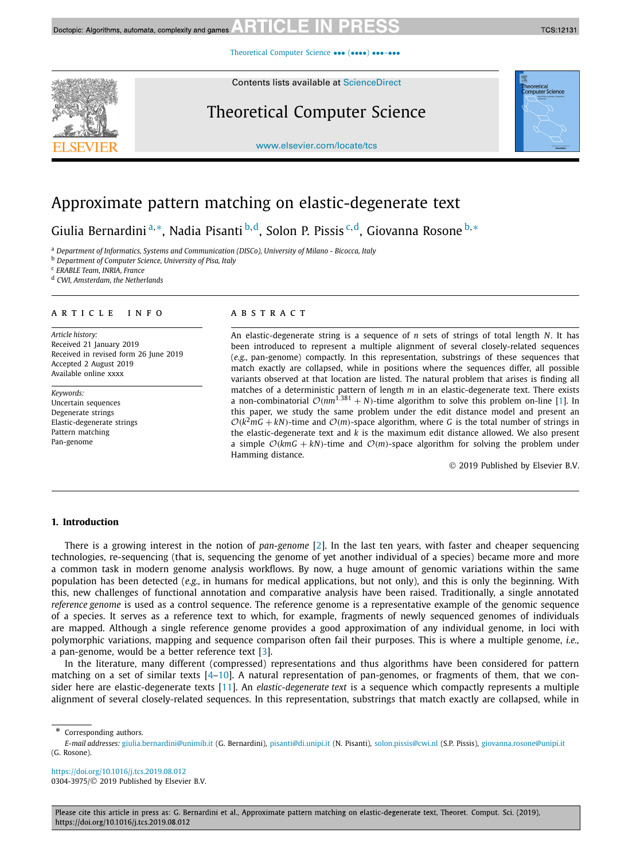[Theoretical Computer Science](https://doi.org/10.1016/j.tcs.2019.08.012) ••• (••••) •••-•••

Contents lists available at [ScienceDirect](http://www.ScienceDirect.com/)

# Theoretical Computer Science

[www.elsevier.com/locate/tcs](http://www.elsevier.com/locate/tcs)

# Approximate pattern matching on elastic-degenerate text

Giulia Bernardini <sup>a</sup>*,*∗, Nadia Pisanti <sup>b</sup>*,*d, Solon P. Pissis <sup>c</sup>*,*d, Giovanna Rosone <sup>b</sup>*,*<sup>∗</sup>

<sup>a</sup> *Department of Informatics, Systems and Communication (DISCo), University of Milano - Bicocca, Italy*

<sup>b</sup> *Department of Computer Science, University of Pisa, Italy*

<sup>c</sup> *ERABLE Team, INRIA, France*

<sup>d</sup> *CWI, Amsterdam, the Netherlands*

### A R T I C L E I N F O A B S T R A C T

*Article history:* Received 21 January 2019 Received in revised form 26 June 2019 Accepted 2 August 2019 Available online xxxx

*Keywords:* Uncertain sequences Degenerate strings Elastic-degenerate strings Pattern matching Pan-genome

An elastic-degenerate string is a sequence of *n* sets of strings of total length *N*. It has been introduced to represent a multiple alignment of several closely-related sequences (*e.g.,* pan-genome) compactly. In this representation, substrings of these sequences that match exactly are collapsed, while in positions where the sequences differ, all possible variants observed at that location are listed. The natural problem that arises is finding all matches of a deterministic pattern of length *m* in an elastic-degenerate text. There exists a non-combinatorial  $\mathcal{O}(nm^{1.381} + N)$ -time algorithm to solve this problem on-line [\[1\]](#page-12-0). In this paper, we study the same problem under the edit distance model and present an  $O(k^2mG + kN)$ -time and  $O(m)$ -space algorithm, where *G* is the total number of strings in the elastic-degenerate text and *k* is the maximum edit distance allowed. We also present a simple  $O(kmG + kN)$ -time and  $O(m)$ -space algorithm for solving the problem under Hamming distance.

© 2019 Published by Elsevier B.V.

### **1. Introduction**

There is a growing interest in the notion of *pan-genome* [\[2\]](#page-12-0). In the last ten years, with faster and cheaper sequencing technologies, re-sequencing (that is, sequencing the genome of yet another individual of a species) became more and more a common task in modern genome analysis workflows. By now, a huge amount of genomic variations within the same population has been detected (*e.g.,* in humans for medical applications, but not only), and this is only the beginning. With this, new challenges of functional annotation and comparative analysis have been raised. Traditionally, a single annotated *reference genome* is used as a control sequence. The reference genome is a representative example of the genomic sequence of a species. It serves as a reference text to which, for example, fragments of newly sequenced genomes of individuals are mapped. Although a single reference genome provides a good approximation of any individual genome, in loci with polymorphic variations, mapping and sequence comparison often fail their purposes. This is where a multiple genome, *i.e.,* a pan-genome, would be a better reference text [\[3\]](#page-12-0).

In the literature, many different (compressed) representations and thus algorithms have been considered for pattern matching on a set of similar texts  $[4-10]$ . A natural representation of pan-genomes, or fragments of them, that we consider here are elastic-degenerate texts [\[11\]](#page-12-0). An *elastic-degenerate text* is a sequence which compactly represents a multiple alignment of several closely-related sequences. In this representation, substrings that match exactly are collapsed, while in

<https://doi.org/10.1016/j.tcs.2019.08.012> 0304-3975/© 2019 Published by Elsevier B.V.





Corresponding authors.

*E-mail addresses:* [giulia.bernardini@unimib.it](mailto:giulia.bernardini@unimib.it) (G. Bernardini), [pisanti@di.unipi.it](mailto:pisanti@di.unipi.it) (N. Pisanti), [solon.pissis@cwi.nl](mailto:solon.pissis@cwi.nl) (S.P. Pissis), [giovanna.rosone@unipi.it](mailto:giovanna.rosone@unipi.it) (G. Rosone).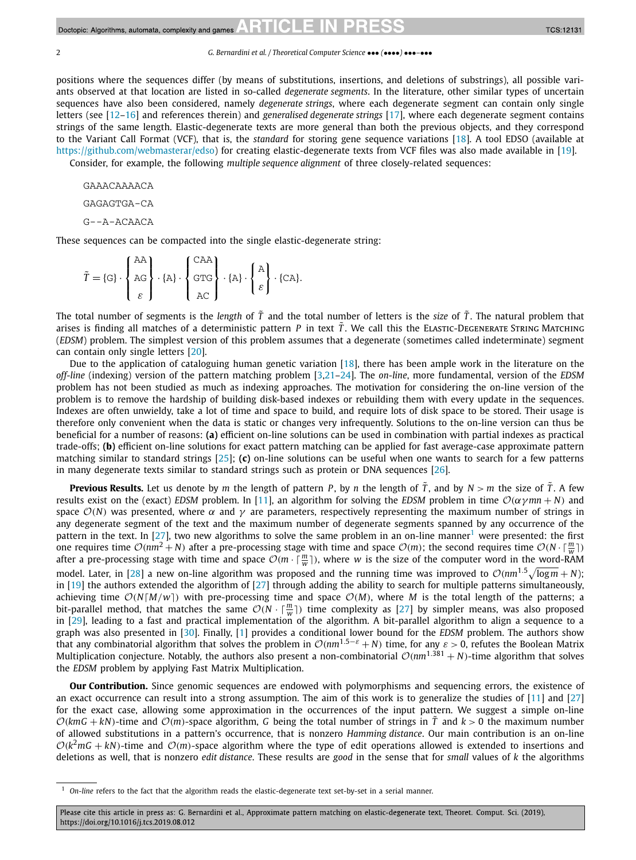#### 2 *G. Bernardini et al. / Theoretical Computer Science* ••• *(*••••*)* •••*–*•••

positions where the sequences differ (by means of substitutions, insertions, and deletions of substrings), all possible variants observed at that location are listed in so-called *degenerate segments*. In the literature, other similar types of uncertain sequences have also been considered, namely *degenerate strings*, where each degenerate segment can contain only single letters (see [\[12–16\]](#page-12-0) and references therein) and *generalised degenerate strings* [\[17\]](#page-12-0), where each degenerate segment contains strings of the same length. Elastic-degenerate texts are more general than both the previous objects, and they correspond to the Variant Call Format (VCF), that is, the *standard* for storing gene sequence variations [\[18\]](#page-12-0). A tool EDSO (available at [https://github.com/webmasterar/edso\)](https://github.com/webmasterar/edso) for creating elastic-degenerate texts from VCF files was also made available in [\[19\]](#page-12-0).

Consider, for example, the following *multiple sequence alignment* of three closely-related sequences:

```
GAAACAAAACA
GAGAGTGA-CA
G--A-ACAACA
```
These sequences can be compacted into the single elastic-degenerate string:

|                                                                                                                                                                 | AA I            | CAA        |  |  |
|-----------------------------------------------------------------------------------------------------------------------------------------------------------------|-----------------|------------|--|--|
| $\widetilde{T} = \{G\} \cdot \left\{ AG \right\} \cdot \{A\} \cdot \left\{ GTG \right\} \cdot \{A\} \cdot \left\{ \frac{A}{\varepsilon} \right\} \cdot \{CA\}.$ |                 |            |  |  |
|                                                                                                                                                                 | $\varepsilon$ 1 | $ $ AC $ $ |  |  |

The total number of segments is the *length* of  $\tilde{T}$  and the total number of letters is the *size* of  $\tilde{T}$ . The natural problem that arises is finding all matches of a deterministic pattern *P* in text  $\tilde{T}$ . We call this the ELASTIC-DEGENERATE STRING MATCHING (*EDSM*) problem. The simplest version of this problem assumes that a degenerate (sometimes called indeterminate) segment can contain only single letters [\[20\]](#page-12-0).

Due to the application of cataloguing human genetic variation [\[18\]](#page-12-0), there has been ample work in the literature on the *off-line* (indexing) version of the pattern matching problem [\[3,21–24\]](#page-12-0). The *on-line*, more fundamental, version of the *EDSM* problem has not been studied as much as indexing approaches. The motivation for considering the on-line version of the problem is to remove the hardship of building disk-based indexes or rebuilding them with every update in the sequences. Indexes are often unwieldy, take a lot of time and space to build, and require lots of disk space to be stored. Their usage is therefore only convenient when the data is static or changes very infrequently. Solutions to the on-line version can thus be beneficial for a number of reasons: **(a)** efficient on-line solutions can be used in combination with partial indexes as practical trade-offs; **(b)** efficient on-line solutions for exact pattern matching can be applied for fast average-case approximate pattern matching similar to standard strings [\[25\]](#page-12-0); **(c)** on-line solutions can be useful when one wants to search for a few patterns in many degenerate texts similar to standard strings such as protein or DNA sequences [\[26\]](#page-12-0).

**Previous Results.** Let us denote by *m* the length of pattern *P*, by *n* the length of  $\tilde{T}$ , and by  $N > m$  the size of  $\tilde{T}$ . A few results exist on the (exact) *EDSM* problem. In [\[11\]](#page-12-0), an algorithm for solving the *EDSM* problem in time  $O(\alpha \gamma mn + N)$  and space  $O(N)$  was presented, where  $\alpha$  and  $\gamma$  are parameters, respectively representing the maximum number of strings in any degenerate segment of the text and the maximum number of degenerate segments spanned by any occurrence of the pattern in the text. In [\[27\]](#page-12-0), two new algorithms to solve the same problem in an on-line manner<sup>1</sup> were presented: the first one requires time  $\mathcal{O}(nm^2 + N)$  after a pre-processing stage with time and space  $\mathcal{O}(m)$ ; the second requires time  $\mathcal{O}(N \cdot \lceil \frac{m}{w} \rceil)$ after a pre-processing stage with time and space  $\mathcal{O}(m\cdot\lceil \frac{m}{w}\rceil)$ , where *w* is the size of the computer word in the word-RAM model. Later, in [\[28\]](#page-12-0) a new on-line algorithm was proposed and the running time was improved to  $O(nm^{1.5}\sqrt{\log m} + N)$ ; in  $[19]$  the authors extended the algorithm of  $[27]$  through adding the ability to search for multiple patterns simultaneously, achieving time  $\mathcal{O}(N[M/w])$  with pre-processing time and space  $\mathcal{O}(M)$ , where *M* is the total length of the patterns; a bit-parallel method, that matches the same  $O(N \cdot \lceil \frac{m}{w} \rceil)$  time complexity as [\[27\]](#page-12-0) by simpler means, was also proposed in [\[29\]](#page-12-0), leading to a fast and practical implementation of the algorithm. A bit-parallel algorithm to align a sequence to a graph was also presented in [\[30\]](#page-12-0). Finally, [\[1\]](#page-12-0) provides a conditional lower bound for the *EDSM* problem. The authors show that any combinatorial algorithm that solves the problem in  $O(nm^{1.5-\epsilon} + N)$  time, for any  $\epsilon > 0$ , refutes the Boolean Matrix Multiplication conjecture. Notably, the authors also present a non-combinatorial  $O(nm^{1.381} + N)$ -time algorithm that solves the *EDSM* problem by applying Fast Matrix Multiplication.

**Our Contribution.** Since genomic sequences are endowed with polymorphisms and sequencing errors, the existence of an exact occurrence can result into a strong assumption. The aim of this work is to generalize the studies of [\[11\]](#page-12-0) and [\[27\]](#page-12-0) for the exact case, allowing some approximation in the occurrences of the input pattern. We suggest a simple on-line  $O(kmG + kN)$ -time and  $O(m)$ -space algorithm, G being the total number of strings in  $\tilde{T}$  and  $k > 0$  the maximum number of allowed substitutions in a pattern's occurrence, that is nonzero *Hamming distance*. Our main contribution is an on-line  $O(k^2mG + kN)$ -time and  $O(m)$ -space algorithm where the type of edit operations allowed is extended to insertions and deletions as well, that is nonzero *edit distance*. These results are *good* in the sense that for *small* values of *k* the algorithms

<sup>1</sup> *On-line* refers to the fact that the algorithm reads the elastic-degenerate text set-by-set in a serial manner.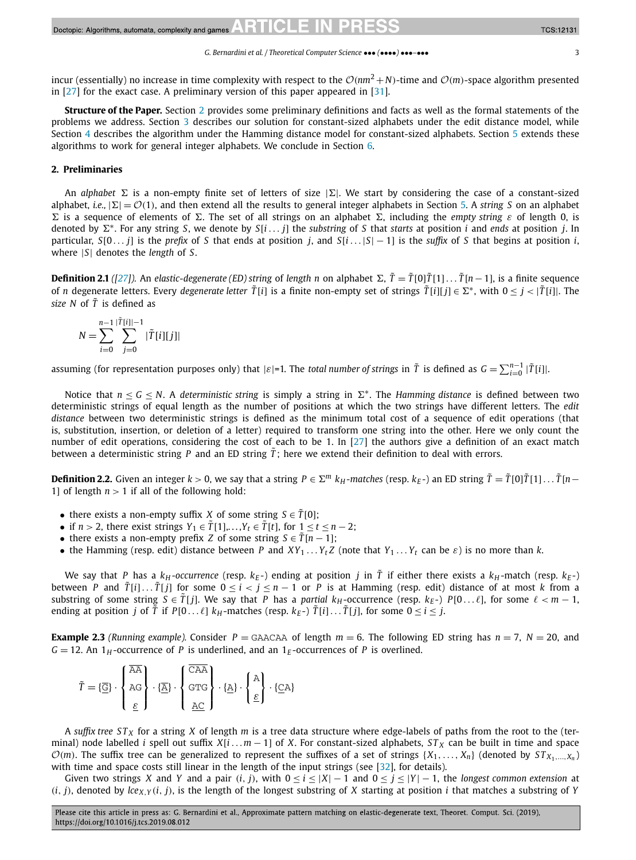<span id="page-2-0"></span>incur (essentially) no increase in time complexity with respect to the  $\mathcal{O}(nm^2 + N)$ -time and  $\mathcal{O}(m)$ -space algorithm presented in [\[27\]](#page-12-0) for the exact case. A preliminary version of this paper appeared in [\[31\]](#page-12-0).

**Structure of the Paper.** Section 2 provides some preliminary definitions and facts as well as the formal statements of the problems we address. Section [3](#page-3-0) describes our solution for constant-sized alphabets under the edit distance model, while Section [4](#page-9-0) describes the algorithm under the Hamming distance model for constant-sized alphabets. Section [5](#page-11-0) extends these algorithms to work for general integer alphabets. We conclude in Section [6.](#page-11-0)

# **2. Preliminaries**

An *alphabet*  $\Sigma$  is a non-empty finite set of letters of size  $|\Sigma|$ . We start by considering the case of a constant-sized alphabet, *i.e.*,  $|\Sigma| = \mathcal{O}(1)$ , and then extend all the results to general integer alphabets in Section [5.](#page-11-0) A *string S* on an alphabet  $\Sigma$  is a sequence of elements of  $\Sigma$ . The set of all strings on an alphabet  $\Sigma$ , including the *empty string ε* of length 0, is denoted by  $\Sigma^*$ . For any string *S*, we denote by *S*[*i*  $\ldots$  *j*] the *substring* of *S* that *starts* at position *i* and *ends* at position *j*. In particular,  $S[0 \dots j]$  is the *prefix* of *S* that ends at position *j*, and  $S[i \dots |S| - 1]$  is the *suffix* of *S* that begins at position *i*, where |*S*| denotes the *length* of *S*.

**Definition 2.1** ([\[27\]](#page-12-0)). An elastic-degenerate (ED) string of length n on alphabet  $\Sigma$ ,  $\tilde{T} = \tilde{T}[0]\tilde{T}[1] \dots \tilde{T}[n-1]$ , is a finite sequence of *n* degenerate letters. Every *degenerate letter*  $\tilde{T}[i]$  is a finite non-empty set of strings  $\tilde{T}[i][j] \in \Sigma^*$ , with  $0 \leq j \leq |\tilde{T}[i]|$ . The *size*  $N$  of  $\tilde{T}$  is defined as

$$
N = \sum_{i=0}^{n-1} \sum_{j=0}^{|\tilde{T}[i]|-1} |\tilde{T}[i][j]|
$$

assuming (for representation purposes only) that  $|\varepsilon|=1$ . The *total number of strings* in  $\tilde{T}$  is defined as  $G=\sum_{i=0}^{n-1}|\tilde{T}[i]|$ .

Notice that  $n < G < N$ . A *deterministic string* is simply a string in  $\Sigma^*$ . The *Hamming distance* is defined between two deterministic strings of equal length as the number of positions at which the two strings have different letters. The *edit distance* between two deterministic strings is defined as the minimum total cost of a sequence of edit operations (that is, substitution, insertion, or deletion of a letter) required to transform one string into the other. Here we only count the number of edit operations, considering the cost of each to be 1. In [\[27\]](#page-12-0) the authors give a definition of an exact match between a deterministic string *P* and an ED string  $\tilde{T}$ ; here we extend their definition to deal with errors.

**Definition 2.2.** Given an integer  $k > 0$ , we say that a string  $P \in \Sigma^m$   $k_H$ -matches (resp.  $k_F$ -) an ED string  $\tilde{T} = \tilde{T}[0]\tilde{T}[1] \dots \tilde{T}[n-1]$ 1] of length  $n > 1$  if all of the following hold:

- there exists a non-empty suffix *X* of some string  $S \in \tilde{T}[0]$ ;
- if *n* > 2, there exist strings  $Y_1 \in \tilde{T}[1],...,Y_t \in \tilde{T}[t]$ , for  $1 \le t \le n-2$ ;
- there exists a non-empty prefix *Z* of some string  $S \in \tilde{T}[n-1]$ ;
- the Hamming (resp. edit) distance between *P* and  $XY_1 \ldots Y_t Z$  (note that  $Y_1 \ldots Y_t$  can be  $\varepsilon$ ) is no more than *k*.

We say that *P* has a  $k_H$ -occurrence (resp.  $k_E$ -) ending at position *j* in  $\tilde{T}$  if either there exists a  $k_H$ -match (resp.  $k_E$ -) between *P* and  $\tilde{T}[i] \dots \tilde{T}[j]$  for some  $0 \le i < j \le n-1$  or *P* is at Hamming (resp. edit) distance of at most *k* from a substring of some string  $S \in \tilde{T}[j]$ . We say that *P* has a *partial k<sub>H</sub>*-occurrence (resp.  $k_F$ -) *P*[0... $\ell$ ], for some  $\ell < m - 1$ , ending at position *j* of  $\tilde{T}$  if  $P[0 \dots \ell]$   $k_H$ -matches (resp.  $k_E$ -)  $\tilde{T}[i] \dots \tilde{T}[j]$ , for some  $0 \le i \le j$ .

**Example 2.3** *(Running example).* Consider  $P = \text{GAACAA}$  of length  $m = 6$ . The following ED string has  $n = 7$ ,  $N = 20$ , and  $G = 12$ . An  $1_H$ -occurrence of *P* is underlined, and an  $1_F$ -occurrences of *P* is overlined.

| $I = \{ \underline{\overline{\mathbb{G}}} \} \cdot \left\{ \begin{array}{c} \text{AA} \\ \text{AG} \end{array} \right\} \cdot \{ \underline{\overline{\mathbb{A}}} \} \cdot \left\{ \begin{array}{c} \text{CFT} \\ \text{GTG} \end{array} \right\} \cdot \{ \underline{\mathbb{A}} \} \cdot \left\{ \underline{\mathbb{C}} \right\} \cdot \{ \underline{\mathbb{C}} \mathbb{A}^{\circ} \}$ |  |  |  |
|--------------------------------------------------------------------------------------------------------------------------------------------------------------------------------------------------------------------------------------------------------------------------------------------------------------------------------------------------------------------------------------------|--|--|--|
|                                                                                                                                                                                                                                                                                                                                                                                            |  |  |  |

A *suffix* tree  $ST_X$  for a string X of length m is a tree data structure where edge-labels of paths from the root to the (terminal) node labelled *i* spell out suffix  $X[i \dots m - 1]$  of *X*. For constant-sized alphabets,  $ST_X$  can be built in time and space  $\mathcal{O}(m)$ . The suffix tree can be generalized to represent the suffixes of a set of strings  $\{X_1, \ldots, X_n\}$  (denoted by  $ST_{X_1, \ldots, X_n}$ ) with time and space costs still linear in the length of the input strings (see [\[32\]](#page-13-0), for details).

Given two strings *X* and *Y* and a pair  $(i, j)$ , with  $0 \le i \le |X| - 1$  and  $0 \le j \le |Y| - 1$ , the *longest common extension* at  $(i, j)$ , denoted by  $lce_{X,Y}(i, j)$ , is the length of the longest substring of X starting at position i that matches a substring of Y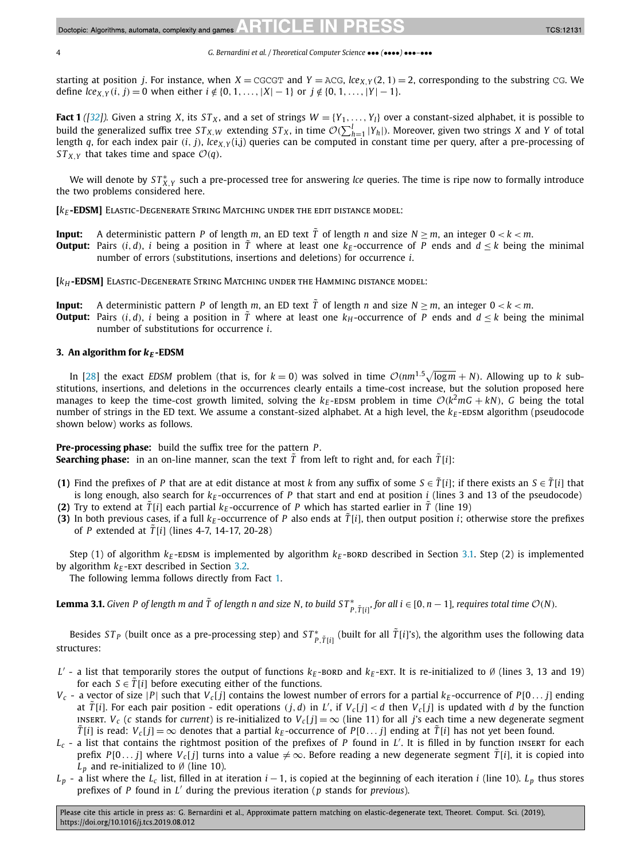<span id="page-3-0"></span>starting at position *j*. For instance, when  $X = CGG$  and  $Y = ACG$ ,  $lce_{X,Y}(2, 1) = 2$ , corresponding to the substring CG. We define  $lce_{X,Y}(i, j) = 0$  when either  $i \notin \{0, 1, ..., |X| - 1\}$  or  $j \notin \{0, 1, ..., |Y| - 1\}$ .

**Fact 1** ([\[32\]](#page-13-0)). Given a string *X*, its *ST<sub>X</sub>*, and a set of strings  $W = \{Y_1, \ldots, Y_l\}$  over a constant-sized alphabet, it is possible to build the generalized suffix tree  $ST_{X,W}$  extending  $ST_X$ , in time  $\mathcal{O}(\sum_{h=1}^l |Y_h|)$ . Moreover, given two strings *X* and *Y* of total length *q*, for each index pair  $(i, j)$ ,  $lce_{X,Y}(i,j)$  queries can be computed in constant time per query, after a pre-processing of *ST<sub>x Y</sub>* that takes time and space  $\mathcal{O}(q)$ .

We will denote by  $ST^*_{X,Y}$  such a pre-processed tree for answering *lce* queries. The time is ripe now to formally introduce the two problems considered here.

**[** $k_F$ **-EDSM]** ELASTIC-DEGENERATE STRING MATCHING UNDER THE EDIT DISTANCE MODEL:

- **Input:** A deterministic pattern *P* of length *m*, an ED text  $\tilde{T}$  of length *n* and size  $N \ge m$ , an integer  $0 < k < m$ .
- **Output:** Pairs  $(i, d)$ , *i* being a position in *T* where at least one  $k_F$ -occurrence of *P* ends and  $d \lt k$  being the minimal number of errors (substitutions, insertions and deletions) for occurrence *i*.

**[***kH* **-EDSM]** Elastic-Degenerate String Matching under the Hamming distance model:

- **Input:** A deterministic pattern *P* of length *m*, an ED text  $\tilde{T}$  of length *n* and size  $N > m$ , an integer  $0 < k < m$ .
- **Output:** Pairs  $(i, d)$ , *i* being a position in  $\tilde{T}$  where at least one  $k_H$ -occurrence of *P* ends and  $d \leq k$  being the minimal number of substitutions for occurrence *i*.

## **3.** An algorithm for  $k_E$ -EDSM

In [\[28\]](#page-12-0) the exact *EDSM* problem (that is, for  $k = 0$ ) was solved in time  $O(nm^{1.5}\sqrt{\log m} + N)$ . Allowing up to *k* substitutions, insertions, and deletions in the occurrences clearly entails a time-cost increase, but the solution proposed here manages to keep the time-cost growth limited, solving the  $k_E$ -EDSM problem in time  $O(k^2 m G + kN)$ , *G* being the total number of strings in the ED text. We assume a constant-sized alphabet. At a high level, the  $k_E$ -EDSM algorithm (pseudocode shown below) works as follows.

**Pre-processing phase:** build the suffix tree for the pattern *P* . **Searching phase:** in an on-line manner, scan the text  $\tilde{T}$  from left to right and, for each  $\tilde{T}[i]$ :

- **(1)** Find the prefixes of *P* that are at edit distance at most *k* from any suffix of some  $S \in \tilde{T}[i]$ ; if there exists an  $S \in \tilde{T}[i]$  that is long enough, also search for  $k_E$ -occurrences of  $P$  that start and end at position  $i$  (lines 3 and 13 of the pseudocode)
- **(2)** Try to extend at  $\tilde{T}[i]$  each partial  $k_F$ -occurrence of P which has started earlier in  $\tilde{T}$  (line 19)
- **(3)** In both previous cases, if a full  $k_F$ -occurrence of *P* also ends at  $\tilde{T}[i]$ , then output position *i*; otherwise store the prefixes of *P* extended at  $\tilde{T}[i]$  (lines 4-7, 14-17, 20-28)

Step (1) of algorithm  $k_E$ -EDSM is implemented by algorithm  $k_E$ -BORD described in Section [3.1.](#page-4-0) Step (2) is implemented by algorithm  $k_E$ -EXT described in Section [3.2.](#page-6-0)

The following lemma follows directly from Fact 1.

**Lemma 3.1.** Given P of length m and  $\tilde{T}$  of length n and size N, to build ST $^*_{P,\tilde{T}[i]},$  for all  $i\in[0,n-1]$ , requires total time  $\mathcal{O}(N)$ .

Besides  $ST_P$  (built once as a pre-processing step) and  $ST^*_{P,\tilde{T}[i]}$  (built for all  $\tilde{T}[i]$ 's), the algorithm uses the following data structures:

- *L'* a list that temporarily stores the output of functions  $k<sub>F</sub>$ -bord and  $k<sub>F</sub>$ -ext. It is re-initialized to Ø (lines 3, 13 and 19) for each  $S \in \tilde{T}[i]$  before executing either of the functions.
- $V_c$  a vector of size |*P*| such that  $V_c[j]$  contains the lowest number of errors for a partial  $k_E$ -occurrence of *P*[0...*i*] ending at  $\tilde{T}[i]$ . For each pair position - edit operations  $(j, d)$  in L', if  $V_c[j] < d$  then  $V_c[j]$  is updated with d by the function INSERT. *V<sub>c</sub>* (*c* stands for *current*) is re-initialized to *V<sub>c</sub>*[*j*] =  $\infty$  (line 11) for all *j*'s each time a new degenerate segment  $\tilde{T}[i]$  is read:  $V_c[j] = \infty$  denotes that a partial  $k_E$ -occurrence of *P*[0...*j*] ending at  $\tilde{T}[i]$  has not yet been found.
- *Lc* a list that contains the rightmost position of the prefixes of *<sup>P</sup>* found in *<sup>L</sup>* . It is filled in by function insert for each prefix *P*[0...*j*] where  $V_c$ [*j*] turns into a value  $\neq \infty$ . Before reading a new degenerate segment  $\tilde{T}[i]$ , it is copied into  $L_p$  and re-initialized to Ø (line 10).
- $L_p$  a list where the  $L_c$  list, filled in at iteration *i* − 1, is copied at the beginning of each iteration *i* (line 10).  $L_p$  thus stores prefixes of *P* found in *L* during the previous iteration (*p* stands for *previous*).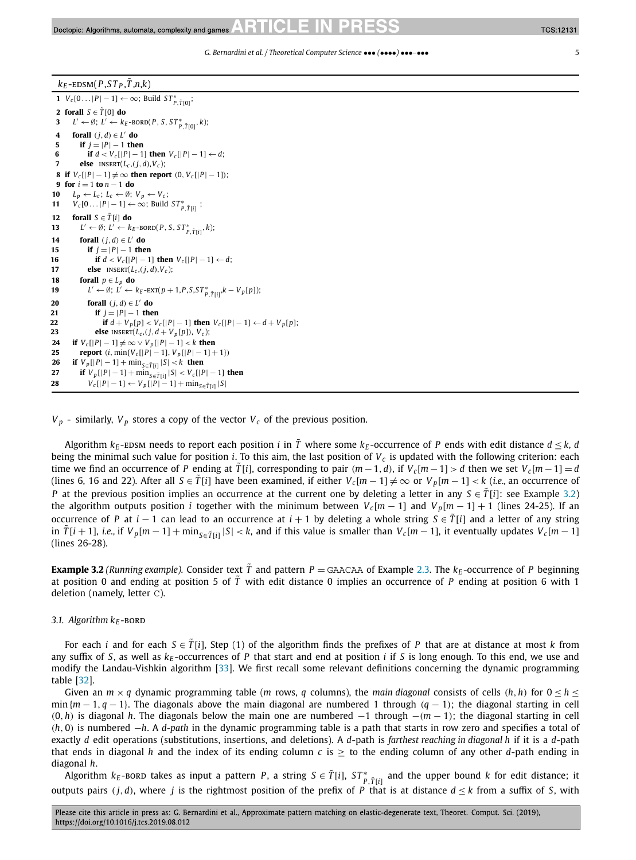# <span id="page-4-0"></span> $k_F$ -EDSM( $P$ ,  $ST_P$ ,  $\tilde{T}$ ,  $n, k$ )

  $V_c[0...|P|-1] \leftarrow \infty$ ; Build  $ST^*_{P, \tilde{T}[0]}$ ; **forall**  $S \in \tilde{T}[0]$  **do**   $L' \leftarrow \emptyset$ ;  $L' \leftarrow k_E\text{-BORD}(P, S, ST^*_{P, \tilde{T}[0]}, k);$  **forall**  $(j, d) \in L'$  **do**<br>**5 if**  $j = |P| = 1$  **the if**  $i = |P| - 1$  **then if**  $d < V_c[|P| - 1]$  **then**  $V_c[|P| - 1] \leftarrow d$ ; **else** INSERT $(L_c, (j, d), V_c)$ ; **if**  $V_c[|P| - 1] \neq \infty$  **then report**  $(0, V_c[|P| - 1])$ ; **for** *i* = 1 **to** *n* − 1 **do**  $L_p \leftarrow L_c$ ;  $L_c \leftarrow \emptyset$ ;  $V_p \leftarrow V_c$ ;  $V_c[0 \dots | P| - 1] \leftarrow \infty$ ; Build  $ST_{P, \tilde{T}[i]}^*$ ; **forall**  $S \in \tilde{T}[i]$  **do**   $L' \leftarrow \emptyset$ ;  $L' \leftarrow k_E\text{-BORD}(P, S, ST^*_{P, \tilde{T}[i]}, k);$  **forall**  $(i, d) \in L'$  **do if**  $j = |P| - 1$  **then if**  $d < V_c[|P| - 1]$  **then**  $V_c[|P| - 1] \leftarrow d$ ;<br>**17 else INSERT(** $l_c$ **, (i, d), V<sub>c</sub>)</u>; else** INSERT( $L_c$ , $(j, d)$ , $V_c$ ); **forall**  $p \in L_p$  **do**  *L'* ← Ø;  $\hat{L'}$  ←  $k_E$ -EXT( $p + 1, P, S, ST^*_{P, \tilde{T}[i]}, k - V_p[p]$ ); **forall**  $(j, d) \in L'$  **do**<br>**21 if**  $j = |P| - 1$  **the if**  $i = |P| - 1$  **then if**  $d + V_p[p] < V_c[|P| - 1]$  **then**  $V_c[|P| - 1] \leftarrow d + V_p[p]$ ;<br> **23 else** INSERT( $l_c$ , (*i*,  $d + V_p[p]$ ),  $V_c$ ); *else* INSERT( $L_c$ ,( $j$ , $d$  +  $V_p[p]$ ),  $V_c$ ); **if**  $V_c[|P| - 1] \neq \infty \vee V_p[|P| - 1] < k$  **then report**  $(i, \min\{V_c[|P|-1], V_p[|P|-1]+1\})$  **if**  $V_p[|P| - 1] + \min_{S \in \tilde{T}[i]} |S| < k$  **then**<br>**27 if**  $V_p[|P| - 1] + \min_{S \in \tilde{T}[i]} |S| < V_c[|S|]$  **if**  $V_p[|P| - 1] + \min_{S \in \tilde{T}[i]} |S| < V_c[|P| - 1]$  then<br> **28**  $V_c[|P| - 1] \leftarrow V_n[|P| - 1] + \min_{S \in \tilde{T}[i]} |S|$  $V_c[|P| − 1] ← V_p[|P| − 1] + min_{S \in \tilde{T}[i]} |S|$ 

 $V_p$  - similarly,  $V_p$  stores a copy of the vector  $V_c$  of the previous position.

Algorithm  $k_E$ -EDSM needs to report each position *i* in  $\tilde{T}$  where some  $k_E$ -occurrence of *P* ends with edit distance  $d \leq k$ , *d* being the minimal such value for position *i*. To this aim, the last position of *Vc* is updated with the following criterion: each time we find an occurrence of P ending at  $\tilde{T}[i]$ , corresponding to pair  $(m-1, d)$ , if  $V_c[m-1] > d$  then we set  $V_c[m-1] = d$ (lines 6, 16 and 22). After all  $S \in \tilde{T}[i]$  have been examined, if either  $V_c[m-1] \neq \infty$  or  $V_p[m-1] < k$  (*i.e.*, an occurrence of *P* at the previous position implies an occurrence at the current one by deleting a letter in any  $S \in \tilde{T}[i]$ : see Example 3.2) the algorithm outputs position *i* together with the minimum between  $V_c[m-1]$  and  $V_p[m-1]+1$  (lines 24-25). If an occurrence of *P* at *i* − 1 can lead to an occurrence at *i* + 1 by deleting a whole string  $S \in T[i]$  and a letter of any string in  $\tilde{T}[i+1]$ , *i.e.*, if  $V_p[m-1] + \min_{S \in \tilde{T}[i]} |S| < k$ , and if this value is smaller than  $V_c[m-1]$ , it eventually updates  $V_c[m-1]$ (lines 26-28).

**Example 3.2** *(Running example).* Consider text  $\tilde{T}$  and pattern  $P =$  GAACAA of Example [2.3.](#page-2-0) The  $k_F$ -occurrence of P beginning at position 0 and ending at position 5 of  $\tilde{T}$  with edit distance 0 implies an occurrence of P ending at position 6 with 1 deletion (namely, letter C).

## 3.1. Algorithm  $k_F$ -BORD

For each *i* and for each  $S \in \tilde{T}[i]$ , Step (1) of the algorithm finds the prefixes of *P* that are at distance at most *k* from any suffix of *S*, as well as  $k_F$ -occurrences of *P* that start and end at position *i* if *S* is long enough. To this end, we use and modify the Landau-Vishkin algorithm [\[33\]](#page-13-0). We first recall some relevant definitions concerning the dynamic programming table [\[32\]](#page-13-0).

Given an  $m \times q$  dynamic programming table (*m* rows, *q* columns), the *main diagonal* consists of cells (*h*, *h*) for  $0 \le h \le$ min {*m* − 1*, q* − 1}. The diagonals above the main diagonal are numbered 1 through *(q* − 1*)*; the diagonal starting in cell *(*0*,h)* is diagonal *h*. The diagonals below the main one are numbered −1 through −*(m* − 1*)*; the diagonal starting in cell *(h,* 0*)* is numbered −*h*. A *d-path* in the dynamic programming table is a path that starts in row zero and specifies a total of exactly *d* edit operations (substitutions, insertions, and deletions). A *d*-path is *farthest reaching in diagonal h* if it is a *d*-path that ends in diagonal *h* and the index of its ending column  $c$  is  $\ge$  to the ending column of any other *d*-path ending in diagonal *h*.

Algorithm  $k_E$ -bord takes as input a pattern *P*, a string  $S \in \tilde{T}[i]$ ,  $ST^*_{P,\tilde{T}[i]}$  and the upper bound  $k$  for edit distance; it outputs pairs  $(j, d)$ , where *j* is the rightmost position of the prefix of *P* that is at distance  $d \leq k$  from a suffix of *S*, with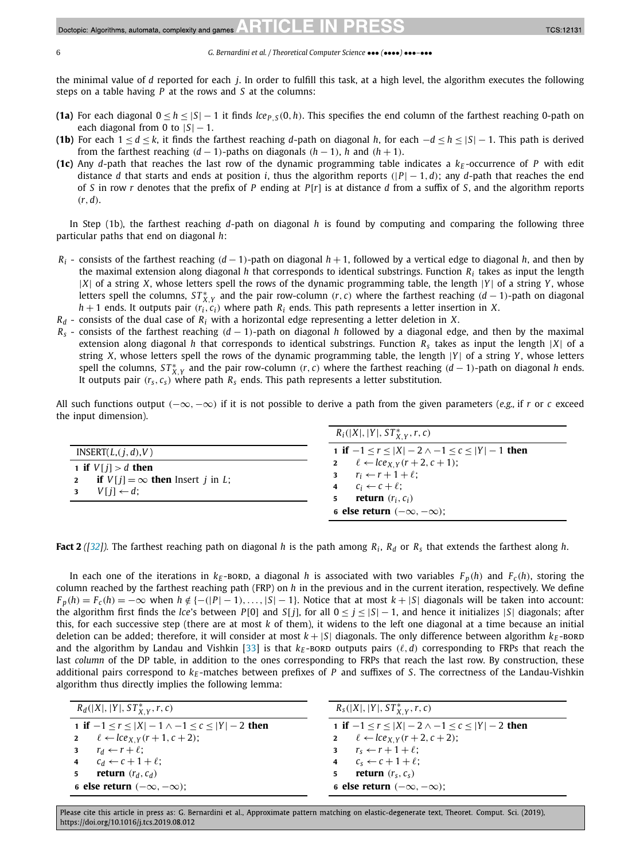the minimal value of *d* reported for each *j*. In order to fulfill this task, at a high level, the algorithm executes the following steps on a table having *P* at the rows and *S* at the columns:

- (1a) For each diagonal  $0 \le h \le |S| 1$  it finds  $lce_{P,S}(0, h)$ . This specifies the end column of the farthest reaching 0-path on each diagonal from 0 to  $|S| - 1$ .
- (1**b**) For each  $1 \le d \le k$ , it finds the farthest reaching *d*-path on diagonal *h*, for each  $-d \le h \le |S| 1$ . This path is derived from the farthest reaching  $(d-1)$ -paths on diagonals  $(h-1)$ , *h* and  $(h+1)$ .
- **(1c)** Any *d*-path that reaches the last row of the dynamic programming table indicates a  $k_F$ -occurrence of *P* with edit distance *d* that starts and ends at position *i*, thus the algorithm reports  $(|P| - 1, d)$ ; any *d*-path that reaches the end of *S* in row *r* denotes that the prefix of *P* ending at *P*[*r*] is at distance *d* from a suffix of *S*, and the algorithm reports *(r,d)*.

In Step (1b), the farthest reaching *d*-path on diagonal *h* is found by computing and comparing the following three particular paths that end on diagonal *h*:

- *Ri* consists of the farthest reaching *(d* − 1*)*-path on diagonal *h* + 1, followed by a vertical edge to diagonal *h*, and then by the maximal extension along diagonal *h* that corresponds to identical substrings. Function *Ri* takes as input the length |*X*| of a string *X*, whose letters spell the rows of the dynamic programming table, the length |*Y* | of a string *Y* , whose letters spell the columns,  $ST^*_{X,Y}$  and the pair row-column  $(r, c)$  where the farthest reaching  $(d-1)$ -path on diagonal  $h + 1$  ends. It outputs pair  $(r_i, c_i)$  where path  $R_i$  ends. This path represents a letter insertion in *X*.
- $R_d$  consists of the dual case of  $R_i$  with a horizontal edge representing a letter deletion in *X*.
- *Rs* consists of the farthest reaching *(d* − 1*)*-path on diagonal *h* followed by a diagonal edge, and then by the maximal extension along diagonal *h* that corresponds to identical substrings. Function *Rs* takes as input the length |*X*| of a string *X*, whose letters spell the rows of the dynamic programming table, the length |*Y* | of a string *Y* , whose letters spell the columns,  $ST^*_{X,Y}$  and the pair row-column  $(r, c)$  where the farthest reaching  $(d-1)$ -path on diagonal *h* ends. It outputs pair  $(r_s, c_s)$  where path  $R_s$  ends. This path represents a letter substitution.

All such functions output *(*−∞*,*−∞*)* if it is not possible to derive a path from the given parameters (*e.g.,* if *r* or *c* exceed the input dimension).

|                                                                                                                               | $R_i( X ,  Y , ST^*_{X,Y}, r, c)$                                                                                                                                                                 |
|-------------------------------------------------------------------------------------------------------------------------------|---------------------------------------------------------------------------------------------------------------------------------------------------------------------------------------------------|
| INSERT(L, (i, d), V)                                                                                                          | 1 if $-1 \le r \le  X  - 2 \wedge -1 \le c \le  Y  - 1$ then                                                                                                                                      |
| 1 if $V[i] > d$ then<br><b>if</b> $V[i] = \infty$ then lnsert <i>i</i> in <i>L</i> ;<br>$\mathbf{2}$<br>$V[i] \leftarrow d$ ; | 2 $\ell \leftarrow \text{lc} e_{X,Y}(r+2,c+1);$<br>3 $r_i \leftarrow r + 1 + \ell$ ;<br>4 $C_i \leftarrow c + \ell$ :<br><b>return</b> $(r_i, c_i)$<br>5.<br>6 else return $(-\infty, -\infty)$ ; |

**Fact 2** ([\[32\]](#page-13-0)). The farthest reaching path on diagonal *h* is the path among  $R_i$ ,  $R_d$  or  $R_s$  that extends the farthest along *h*.

In each one of the iterations in  $k_F$ -bord, a diagonal *h* is associated with two variables  $F_p(h)$  and  $F_c(h)$ , storing the column reached by the farthest reaching path (FRP) on *h* in the previous and in the current iteration, respectively. We define  $F_n(h) = F_c(h) = -\infty$  when  $h \notin \{-(|P|-1), \ldots, |S|-1\}$ . Notice that at most  $k + |S|$  diagonals will be taken into account: the algorithm first finds the *lce*'s between *P*[0] and *S*[*j*], for all  $0 < j < |S| - 1$ , and hence it initializes  $|S|$  diagonals; after this, for each successive step (there are at most *k* of them), it widens to the left one diagonal at a time because an initial deletion can be added; therefore, it will consider at most  $k + |S|$  diagonals. The only difference between algorithm  $k_E$ -BORD and the algorithm by Landau and Vishkin [\[33\]](#page-13-0) is that  $k_E$ -BORD outputs pairs  $(\ell, d)$  corresponding to FRPs that reach the last *column* of the DP table, in addition to the ones corresponding to FRPs that reach the last row. By construction, these additional pairs correspond to  $k_E$ -matches between prefixes of *P* and suffixes of *S*. The correctness of the Landau-Vishkin algorithm thus directly implies the following lemma:

| $R_d( X ,  Y , ST^*_{X,Y}, r, c)$                            | $R_s( X ,  Y , ST^*_{X,Y}, r, c)$                            |
|--------------------------------------------------------------|--------------------------------------------------------------|
| 1 if $-1 \le r \le  X  - 1 \wedge -1 \le c \le  Y  - 2$ then | 1 if $-1 \le r \le  X  - 2 \wedge -1 \le c \le  Y  - 2$ then |
| 2 $\ell \leftarrow \text{lc} e_{X,Y}(r+1,c+2);$              | 2 $\ell \leftarrow \text{lc} e_{X,Y}(r+2,c+2);$              |
| 3 $r_d \leftarrow r + \ell$ ;                                | 3 $r_s \leftarrow r + 1 + \ell$ ;                            |
| 4 $c_d \leftarrow c + 1 + \ell$ ;                            | 4 $c_s \leftarrow c + 1 + \ell$ ;                            |
| <b>return</b> $(r_d, c_d)$                                   | <b>return</b> $(r_s, c_s)$<br>5 <sup>1</sup>                 |
| 6 else return $(-\infty, -\infty)$ ;                         | 6 else return $(-\infty, -\infty)$ ;                         |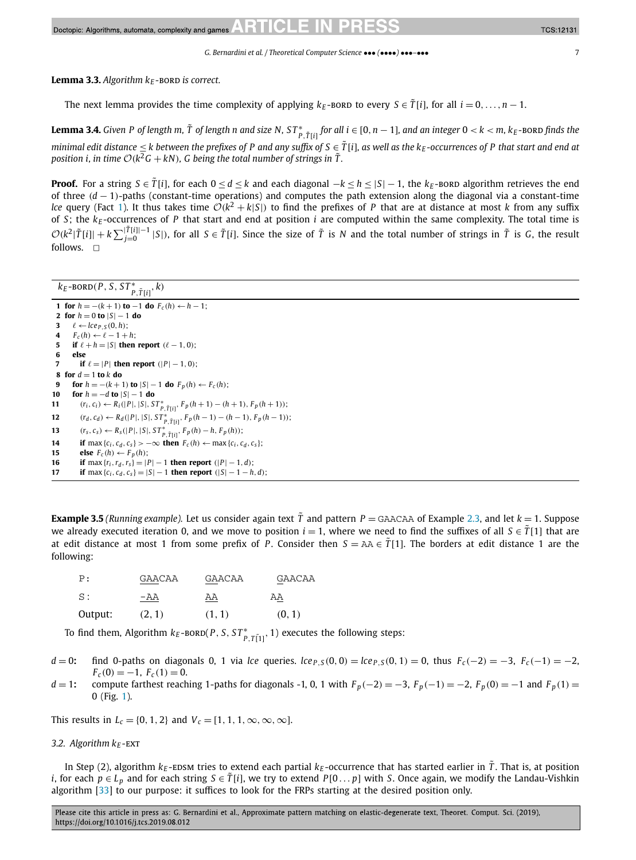<span id="page-6-0"></span>**Lemma 3.3.** Algorithm  $k_F$ -BORD is correct.

The next lemma provides the time complexity of applying  $k_F$ -bord to every  $S \in \tilde{T}[i]$ , for all  $i = 0, \ldots, n - 1$ .

**Lemma 3.4.** Given P of length m,  $\tilde{T}$  of length n and size N, ST $^*_{P, \tilde{T}[i]}$  for all  $i \in [0, n-1]$ , and an integer  $0 < k <$  m,  $k_E$ -BORD finds the minimal edit distance  $\leq$  k between the prefixes of P and any suffix of  $S \in \tilde{T}[i]$ , as well as the  $k_E$ -occurrences of P that start and end at *position i, in time*  $O(k^2G + kN)$ *, G being the total number of strings in*  $\tilde{T}$ *.* 

**Proof.** For a string  $S \in \tilde{T}[i]$ , for each  $0 \leq d \leq k$  and each diagonal  $-k \leq |S| - 1$ , the  $k_F$ -BORD algorithm retrieves the end of three *(d* − 1*)*-paths (constant-time operations) and computes the path extension along the diagonal via a constant-time *lce* query (Fact [1\)](#page-3-0). It thus takes time  $O(k^2 + k|S|)$  to find the prefixes of *P* that are at distance at most *k* from any suffix of *S*; the *k<sub>E</sub>*-occurrences of *P* that start and end at position *i* are computed within the same complexity. The total time is  $\mathcal{O}(k^2|\tilde{T}[i]|+k\sum_{j=0}^{|\tilde{T}[i]|-1}|S|)$ , for all  $S \in \tilde{T}[i]$ . Since the size of  $\tilde{T}$  is N and the total number of strings in  $\tilde{T}$  is G, the result follows.  $\Box$ 

# $k_E$ -BORD $(P, S, ST^*_{P, \tilde{T}[i]}, k)$

 **for**  $h = -(k+1)$  **to** −1 **do**  $F_c(h) \leftarrow h-1$ ; **for**  $h = 0$  **to**  $|S| - 1$  **do**   $\ell \leftarrow lce_{P,S}(0,h);$ <br>**4**  $F_{\epsilon}(h) \leftarrow \ell - 1 + i$  $F_c(h) \leftarrow \ell - 1 + h;$  **if**  $\ell + h = |S|$  **then report**  $(\ell - 1, 0)$ ; **6 else <b>if**  $\ell = |P|$  **then report**  $(|P| - 1, 0)$ ; **for**  $d = 1$  **to**  $k$  **do for**  $h = -(k+1)$  **to**  $|S| - 1$  **do**  $F_p(h) \leftarrow F_c(h);$  **for** *h* = −*d* **to** |*S*| − 1 **do**  $(r_i, c_i) \leftarrow R_i(|P|, |S|, ST^*_{P, \tilde{T}[i]}, F_p(h+1) - (h+1), F_p(h+1));$   $(r_d, c_d) \leftarrow R_d(|P|, |S|, ST^*_{P, \tilde{T}[i]}, F_p(h-1) - (h-1), F_p(h-1));$   $(r_s, c_s) \leftarrow R_s(|P|, |S|, ST^*_{P, \tilde{T}[i]}, F_p(h) - h, F_p(h));$  **if** max { $c_i$ ,  $c_d$ ,  $c_s$ } > −∞ **then**  $F_c(h) \leftarrow \max\{c_i, c_d, c_s\}$ ;<br>**15 else**  $F_c(h) \leftarrow F_n(h)$ : **else**  $F_c(h) \leftarrow F_p(h)$ ; **if** max { $r_i$ ,  $r_d$ ,  $r_s$ } = |*P*| − 1 **then report** (|*P*| − 1*, d*);<br>**17 if** max { $c_i$ ,  $c_d$ ,  $c_s$ } = |*S*| − 1 **then report** (|*S*| − 1 − *h* **if** max { $c_i$ ,  $c_d$ ,  $c_s$ } = |S| − 1 **then report**  $(|S| - 1 - h, d)$ ;

**Example 3.5** (Running example). Let us consider again text  $\tilde{T}$  and pattern  $P =$  GAACAA of Example [2.3,](#page-2-0) and let  $k = 1$ . Suppose we already executed iteration 0, and we move to position  $i = 1$ , where we need to find the suffixes of all  $S \in \tilde{T}[1]$  that are at edit distance at most 1 from some prefix of *P*. Consider then  $S = AA \in \hat{T}[1]$ . The borders at edit distance 1 are the following:

| P:      | GAACAA | GAACAA | GAACAA |
|---------|--------|--------|--------|
| S:      | -AA    | ΑA     | ΑA     |
| Output: | (2, 1) | (1, 1) | (0, 1) |

To find them, Algorithm  $k_E$ -BORD( $P$ *, S*,  $ST^*_{P, T[1]}$ , 1) executes the following steps:

- $d = 0$ : find 0-paths on diagonals 0, 1 via lce queries.  $lce_{P,S}(0, 0) = lce_{P,S}(0, 1) = 0$ , thus  $F_C(-2) = -3$ ,  $F_C(-1) = -2$ ,  $F_c(0) = -1, F_c(1) = 0.$
- $d=1$ : compute farthest reaching 1-paths for diagonals -1, 0, 1 with  $F_p(-2) = -3$ ,  $F_p(-1) = -2$ ,  $F_p(0) = -1$  and  $F_p(1) =$ 0 (Fig. [1\)](#page-7-0).

This results in  $L_c = \{0, 1, 2\}$  and  $V_c = [1, 1, 1, \infty, \infty, \infty]$ .

## *3.2. Algorithm*  $k_F$ -EXT

In Step (2), algorithm  $k_E$ -EDSM tries to extend each partial  $k_E$ -occurrence that has started earlier in  $\tilde{T}$ . That is, at position *i*, for each  $p \in L_p$  and for each string  $S \in \tilde{T}[i]$ , we try to extend *P*[0... *p*] with *S*. Once again, we modify the Landau-Vishkin algorithm [\[33\]](#page-13-0) to our purpose: it suffices to look for the FRPs starting at the desired position only.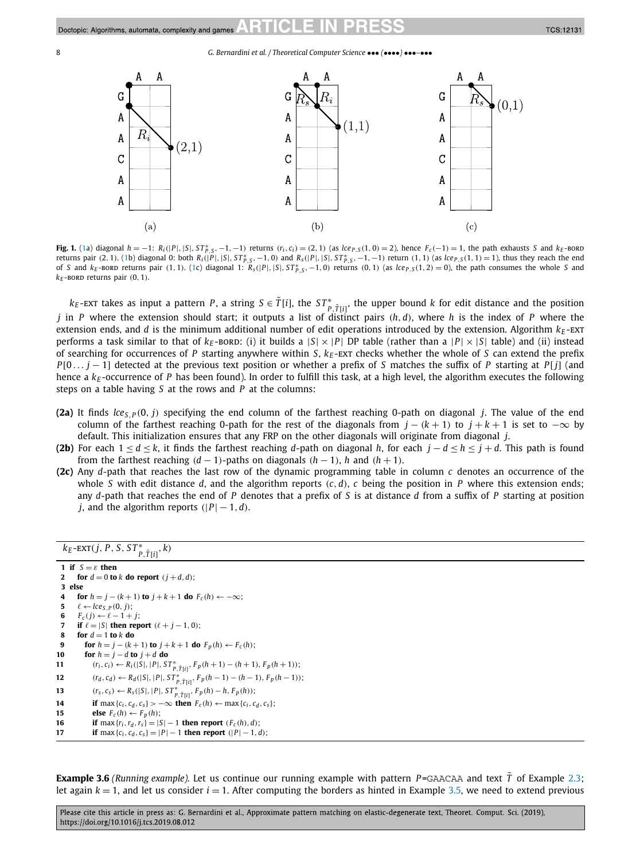<span id="page-7-0"></span>

**Fig. 1.** (1a) diagonal  $h = -1$ :  $R_i(|P|, |S|, ST_{P,S}^*, -1, -1)$  returns  $(r_i, c_i) = (2, 1)$  (as  $lce_{P,S}(1, 0) = 2$ ), hence  $F_c(-1) = 1$ , the path exhausts S and  $k_E$ -BORD returns pair (2, 1). (1b) diagonal 0: both  $R_i(|P|, |S|, ST^*_{P,S}, -1, 0)$  and  $R_s(|P|, |S|, ST^*_{P,S}, -1, -1)$  return (1, 1) (as  $lce_{P,S}(1, 1) = 1$ ), thus they reach the end of S and  $k_E$ -BORD returns pair (1, 1). (1c) diagonal 1:  $\tilde{R}_5(|P|, |S|, ST_{P,S}^*, -1, 0)$  returns (0, 1) (as  $lce_{P,S}(1, 2) = 0$ ), the path consumes the whole S and  $k_E$ -BORD returns pair  $(0, 1)$ .

 $k_E$ -ext takes as input a pattern *P*, a string  $S \in \tilde{T}[i]$ , the  $ST^*_{P,\tilde{T}[i]}$ , the upper bound *k* for edit distance and the position *j* in *P* where the extension should start; it outputs a list of distinct pairs *(h,d)*, where *h* is the index of *P* where the extension ends, and *d* is the minimum additional number of edit operations introduced by the extension. Algorithm  $k_E$ -EXT performs a task similar to that of  $k_E$ -bord: (i) it builds a  $|S| \times |P|$  DP table (rather than a  $|P| \times |S|$  table) and (ii) instead of searching for occurrences of *P* starting anywhere within *S*, *kE* -ext checks whether the whole of *S* can extend the prefix *P*[0... *j* − 1] detected at the previous text position or whether a prefix of *S* matches the suffix of *P* starting at *P*[*j*] (and hence a  $k_E$ -occurrence of *P* has been found). In order to fulfill this task, at a high level, the algorithm executes the following steps on a table having *S* at the rows and *P* at the columns:

- **(2a)** It finds  $\text{lc}e_S$   $p(0, j)$  specifying the end column of the farthest reaching 0-path on diagonal *j*. The value of the end column of the farthest reaching 0-path for the rest of the diagonals from  $j - (k + 1)$  to  $j + k + 1$  is set to  $-\infty$  by default. This initialization ensures that any FRP on the other diagonals will originate from diagonal *j*.
- **(2b)** For each 1 ≤ *d* ≤ *k*, it finds the farthest reaching *d*-path on diagonal *h*, for each *j* − *d* ≤ *h* ≤ *j* + *d*. This path is found from the farthest reaching  $(d-1)$ -paths on diagonals  $(h-1)$ , *h* and  $(h+1)$ .
- **(2c)** Any *d*-path that reaches the last row of the dynamic programming table in column *c* denotes an occurrence of the whole *S* with edit distance *d*, and the algorithm reports *(c,d)*, *c* being the position in *P* where this extension ends; any *d*-path that reaches the end of *P* denotes that a prefix of *S* is at distance *d* from a suffix of *P* starting at position *j*, and the algorithm reports  $(|P| - 1, d)$ .

# $k_{E}$ -EXT(*j*, *P*, *S*,  $ST_{P, \tilde{T}[i]}^{*}$ , *k*)

```
1 if S = ε then
 2 for d = 0 to k do report (j + d, d);
  3 else
  4 for h = j - (k + 1) to j + k + 1 do F_c(h) \leftarrow -\infty;
  5 \ell \leftarrow le_{S,P}(0,j);6 F_c(j) \leftarrow \ell - 1 + j;7 <b>if \ell = |S| then report (\ell + j - 1, 0);
  8 for d = 1 to k do
 9 for h = j - (k + 1) to j + k + 1 do F_p(h) \leftarrow F_c(h);10 for h = j - d to j + d do
11 (r_i, c_i) \leftarrow R_i(|S|, |P|, ST^*_{P, \tilde{T}[i]}, F_p(h+1) - (h+1), F_p(h+1));12 (r_d, c_d) \leftarrow R_d(|S|, |P|, ST^*_{P, \tilde{T}[i]}, F_p(h-1) - (h-1), F_p(h-1));13 (r_s, c_s) \leftarrow R_s(|S|, |P|, ST^*_{P, \tilde{T}[i]}, F_p(h) - h, F_p(h));14 if max {c_i, c_d, c_s} > −∞ then F_c(h) \leftarrow \max\{c_i, c_d, c_s\};<br>15 else F_c(h) \leftarrow F_n(h);
             else F_c(h) \leftarrow F_p(h);
16 if max {r_i, r_d, r_s} = |S| - 1 then report (F_c(h), d);
17 if max {c_i, c_d, c_s} = |P| − 1 then report (|P| − 1, d);
```
**Example 3.6** *(Running example).* Let us continue our running example with pattern  $P=$  GAACAA and text  $\tilde{T}$  of Example [2.3;](#page-2-0) let again  $k = 1$ , and let us consider  $i = 1$ . After computing the borders as hinted in Example [3.5,](#page-6-0) we need to extend previous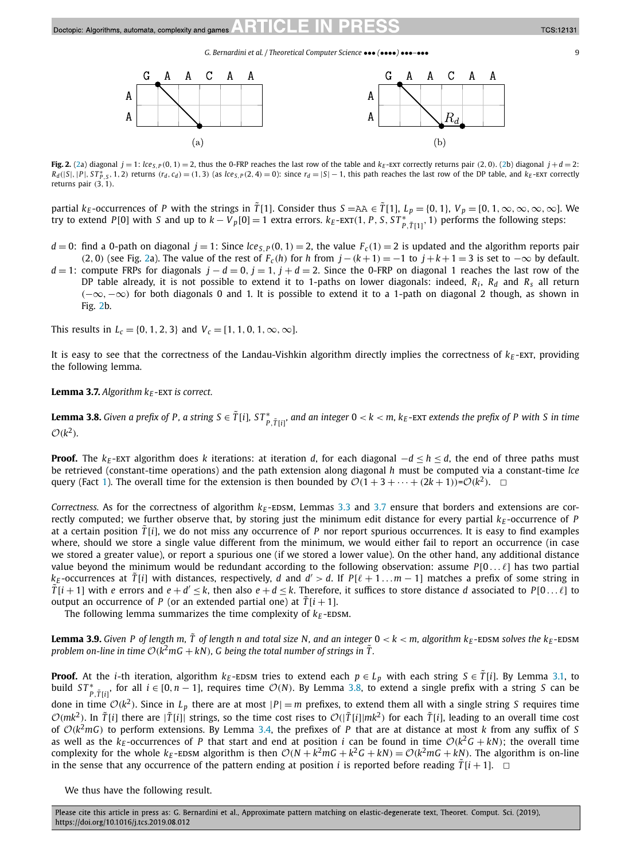*G. Bernardini et al. / Theoretical Computer Science* ••• *(*••••*)* •••*–*••• 9



Fig. 2. (2a) diagonal  $i = 1$ :  $\log_2(0, 1) = 2$ , thus the 0-FRP reaches the last row of the table and  $k_F$ -EXT correctly returns pair (2, 0), (2b) diagonal  $i + d = 2$ .  $R_d(|S|, |P|, ST^*_{P,S}, 1, 2)$  returns  $(r_d, c_d) = (1, 3)$  (as  $lce_{S,P}(2, 4) = 0$ ): since  $r_d = |S| - 1$ , this path reaches the last row of the DP table, and  $k_E$ -EXT correctly returns pair *(*3*,* 1*)*.

partial  $k_F$ -occurrences of P with the strings in  $\tilde{T}[1]$ . Consider thus  $S = A A \in \tilde{T}[1]$ ,  $L_p = \{0, 1\}$ ,  $V_p = \{0, 1\}$ ,  $\infty$ ,  $\infty$ ,  $\infty$ ,  $\infty$ . try to extend P[0] with S and up to  $k-V_p[0]=1$  extra errors.  $k_E$ -EXT(1, P, S, S $T^*_{p,\tilde{T}[1]},1$ ) performs the following steps:

- $d = 0$ : find a 0-path on diagonal  $j = 1$ : Since  $lce_{S,P}(0, 1) = 2$ , the value  $F_c(1) = 2$  is updated and the algorithm reports pair *(*2*,* 0*)* (see Fig. 2a). The value of the rest of  $F_c(h)$  for *h* from  $j - (k+1) = −1$  to  $j + k + 1 = 3$  is set to −∞ by default.
- *d* = 1: compute FRPs for diagonals  $j d = 0$ ,  $j = 1$ ,  $j + d = 2$ . Since the 0-FRP on diagonal 1 reaches the last row of the DP table already, it is not possible to extend it to 1-paths on lower diagonals: indeed, *Ri* , *Rd* and *Rs* all return *(*−∞*,*−∞*)* for both diagonals 0 and 1. It is possible to extend it to a 1-path on diagonal 2 though, as shown in Fig. 2b.

This results in  $L_c = \{0, 1, 2, 3\}$  and  $V_c = [1, 1, 0, 1, \infty, \infty]$ .

It is easy to see that the correctness of the Landau-Vishkin algorithm directly implies the correctness of  $k_F$ -EXT, providing the following lemma.

**Lemma 3.7.** Algorithm  $k_E$ -EXT is correct.

**Lemma 3.8.** Given a prefix of P, a string S  $\in$   $\tilde{T}[i]$ , ST $^*_{P,\tilde{T}[i]}$ , and an integer  $0 < k < m$ ,  $k_E$ -EXT extends the prefix of P with S in time  $O(k^2)$ .

**Proof.** The  $k_E$ -ext algorithm does *k* iterations: at iteration *d*, for each diagonal  $-d \le h \le d$ , the end of three paths must be retrieved (constant-time operations) and the path extension along diagonal *h* must be computed via a constant-time *lce* query (Fact [1\)](#page-3-0). The overall time for the extension is then bounded by  $\mathcal{O}(1 + 3 + \cdots + (2k + 1)) = \mathcal{O}(k^2)$ .  $\Box$ 

*Correctness.* As for the correctness of algorithm  $k_E$ -EDSM, Lemmas [3.3](#page-6-0) and 3.7 ensure that borders and extensions are correctly computed; we further observe that, by storing just the minimum edit distance for every partial  $k_F$ -occurrence of *P* at a certain position  $\tilde{T}[i]$ , we do not miss any occurrence of *P* nor report spurious occurrences. It is easy to find examples where, should we store a single value different from the minimum, we would either fail to report an occurrence (in case we stored a greater value), or report a spurious one (if we stored a lower value). On the other hand, any additional distance value beyond the minimum would be redundant according to the following observation: assume  $P[0 \dots \ell]$  has two partial  $k_F$ -occurrences at  $\tilde{T}[i]$  with distances, respectively, *d* and  $d' > d$ . If  $P[\ell + 1 \dots m - 1]$  matches a prefix of some string in  $\tilde{T}[i+1]$  with *e* errors and  $e + d' \leq k$ , then also  $e + d \leq k$ . Therefore, it suffices to store distance *d* associated to *P*[0... $\ell$ ] to output an occurrence of *P* (or an extended partial one) at  $\tilde{T}[i+1]$ .

The following lemma summarizes the time complexity of  $k_E$ -EDSM.

**Lemma 3.9.** Given P of length m, T of length n and total size N, and an integer  $0 < k < m$ , algorithm  $k_E$ -EDSM solves the  $k_E$ -EDSM *problem* on-line in time  $O(k^2 m G + kN)$ , G being the total number of strings in T.

**Proof.** At the *i*-th iteration, algorithm  $k_E$ -EDSM tries to extend each  $p \in L_p$  with each string  $S \in \tilde{T}[i]$ . By Lemma [3.1,](#page-3-0) to build  $ST^*_{P, \tilde{T}[i]}$ , for all  $i \in [0, n-1]$ , requires time  $\mathcal{O}(N)$ . By Lemma 3.8, to extend a single prefix with a string *S* can be done in time  $O(k^2)$ . Since in  $L_p$  there are at most  $|P| = m$  prefixes, to extend them all with a single string *S* requires time  $\mathcal{O}(mk^2)$ . In  $\tilde{T}[i]$  there are  $|\tilde{T}[i]|$  strings, so the time cost rises to  $\mathcal{O}(|\tilde{T}[i]|mk^2)$  for each  $\tilde{T}[i]$ , leading to an overall time cost of  $O(k^2m)$  to perform extensions. By Lemma [3.4,](#page-6-0) the prefixes of P that are at distance at most k from any suffix of S as well as the  $k_E$ -occurrences of *P* that start and end at position *i* can be found in time  $O(k^2G + kN)$ ; the overall time complexity for the whole  $k_E$ -EDSM algorithm is then  $O(N + k^2mG + k^2G + kN) = O(k^2mG + kN)$ . The algorithm is on-line in the sense that any occurrence of the pattern ending at position *i* is reported before reading  $\tilde{T}[i + 1]$ .  $\Box$ 

We thus have the following result.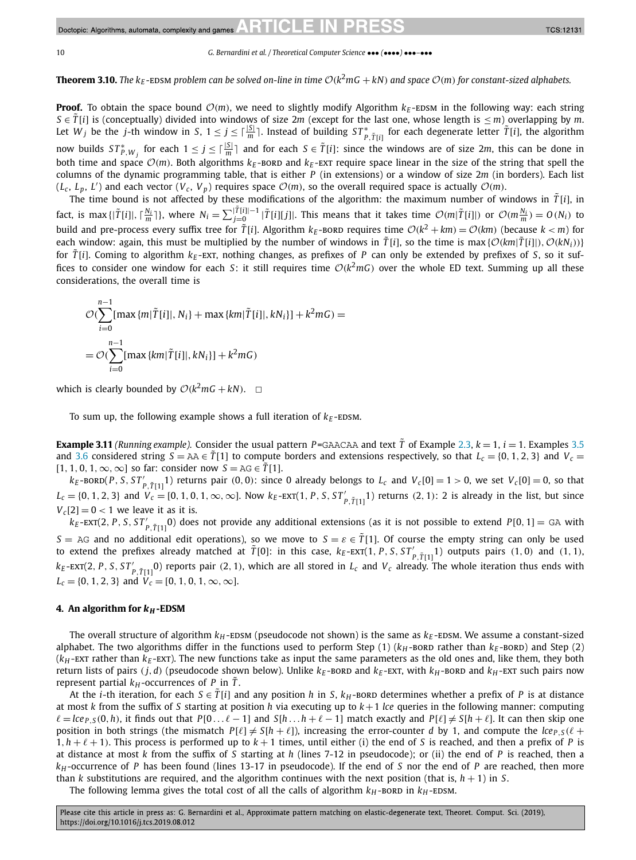<span id="page-9-0"></span>**Theorem 3.10.** The  $k_F$ -EDSM problem can be solved on-line in time  $O(k^2mG + kN)$  and space  $O(m)$  for constant-sized alphabets.

**Proof.** To obtain the space bound  $O(m)$ , we need to slightly modify Algorithm  $k_F$ -EDSM in the following way: each string  $S \in \tilde{T}[i]$  is (conceptually) divided into windows of size 2*m* (except for the last one, whose length is  $\leq m$ ) overlapping by *m*. Let  $W_j$  be the j-th window in S,  $1 \le j \le \lceil \frac{|S|}{m} \rceil$ . Instead of building  $ST^*_{P, \tilde{T}[i]}$  for each degenerate letter  $\tilde{T}[i]$ , the algorithm now builds  $ST_{P,W_j}^*$  for each  $1 \le j \le \lceil \frac{|S|}{m} \rceil$  and for each  $S \in \tilde{T}[i]$ : since the windows are of size 2*m*, this can be done in both time and space  $O(m)$ . Both algorithms  $k_E$ -bord and  $k_E$ -ext require space linear in the size of the string that spell the columns of the dynamic programming table, that is either *P* (in extensions) or a window of size 2*m* (in borders). Each list  $(L_c, L_p, L')$  and each vector  $(V_c, V_p)$  requires space  $O(m)$ , so the overall required space is actually  $O(m)$ .

The time bound is not affected by these modifications of the algorithm: the maximum number of windows in  $\tilde{T}[i]$ , in fact, is max { $|\tilde{T}[i]|, \lceil \frac{N_i}{m} \rceil$ }, where  $N_i = \sum_{j=0}^{|\tilde{T}[i]|-1} |\tilde{T}[i][j]|$ . This means that it takes time  $\mathcal{O}(m|\tilde{T}[i]|)$  or  $\mathcal{O}(m\frac{N_i}{m}) = O(N_i)$  to build and pre-process every suffix tree for  $\tilde{T}[i]$ . Algorithm  $k_E$ -bord requires time  $O(k^2 + km) = O(km)$  (because  $k < m$ ) for each window: again, this must be multiplied by the number of windows in  $\tilde{T}[i]$ , so the time is max $\{\mathcal{O}(km)\}$  $(\mathcal{O}(kN_i))$ } for  $\tilde{T}[i]$ . Coming to algorithm  $k_F$ -EXT, nothing changes, as prefixes of *P* can only be extended by prefixes of *S*, so it suffices to consider one window for each *S*: it still requires time  $O(k^2mG)$  over the whole ED text. Summing up all these considerations, the overall time is

$$
\mathcal{O}\left(\sum_{i=0}^{n-1} [\max \{m|\tilde{T}[i]|, N_i\} + \max \{km|\tilde{T}[i]|, kN_i\}] + k^2 mG\right) =
$$
  
= 
$$
\mathcal{O}\left(\sum_{i=0}^{n-1} [\max \{km|\tilde{T}[i]|, kN_i\}] + k^2 mG\right)
$$

which is clearly bounded by  $O(k^2 m G + kN)$ .  $\Box$ 

To sum up, the following example shows a full iteration of  $k_E$ -EDSM.

**Example 3.11** (Running example). Consider the usual pattern  $P =$ GAACAA and text  $\tilde{T}$  of Example [2.3,](#page-2-0)  $k = 1$ ,  $i = 1$ . Examples [3.5](#page-6-0) and [3.6](#page-7-0) considered string  $S = AA \in T[1]$  to compute borders and extensions respectively, so that  $L_c = \{0, 1, 2, 3\}$  and  $V_c =$  $[1, 1, 0, 1, \infty, \infty]$  so far: consider now  $S = AG \in \overline{T}[1]$ .

 $k_E$ -BORD $(P, S, ST'_{P,\tilde{T}[1]})$  returns pair  $(0,0)$ : since 0 already belongs to  $L_c$  and  $V_c[0] = 1 > 0$ , we set  $V_c[0] = 0$ , so that  $L_c = \{0, 1, 2, 3\}$  and  $V_c = [0, 1, 0, 1, \infty, \infty]$ . Now  $k_E$ -EXT $(1, P, S, ST'_{P, \tilde{T}[1]})$  returns  $(2, 1)$ : 2 is already in the list, but since  $V_c[2] = 0 < 1$  we leave it as it is.

 $k_E$ -EXT(2, P, S, ST'<sub>P,TT[1</sub>0) does not provide any additional extensions (as it is not possible to extend  $P[0, 1] =$  GA with *S* = AG and no additional edit operations), so we move to *S* =  $\varepsilon \in T[1]$ . Of course the empty string can only be used to extend the prefixes already matched at  $\tilde{T}[0]$ : in this case,  $k_E$ -EXT $(1, P, S, ST'_{P,\tilde{T}[1]})$  outputs pairs  $(1, 0)$  and  $(1, 1)$ ,  $k_E$ -EXT(2, P, S, ST'<sub>P,TT1</sub>0) reports pair (2, 1), which are all stored in  $L_c$  and  $V_c$  already. The whole iteration thus ends with  $L_c = \{0, 1, 2, 3\}$  and  $V_c = [0, 1, 0, 1, \infty, \infty]$ .

### **4.** An algorithm for  $k_H$ -EDSM

The overall structure of algorithm  $k_H$ -EDSM (pseudocode not shown) is the same as  $k_E$ -EDSM. We assume a constant-sized alphabet. The two algorithms differ in the functions used to perform Step  $(1)$  ( $k_H$ -bord rather than  $k_E$ -bord) and Step (2)  $(k_H$ -ext rather than  $k_E$ -ext). The new functions take as input the same parameters as the old ones and, like them, they both return lists of pairs  $(j, d)$  (pseudocode shown below). Unlike  $k_E$ -BORD and  $k_E$ -EXT, with  $k_H$ -BORD and  $k_H$ -EXT such pairs now represent partial  $k_H$ -occurrences of *P* in  $\tilde{T}$ .

At the *i*-th iteration, for each  $S \in \tilde{T}[i]$  and any position *h* in *S*,  $k_H$ -bord determines whether a prefix of *P* is at distance at most *k* from the suffix of *S* starting at position *h* via executing up to *k*+1 *lce* queries in the following manner: computing  $\ell = lce_{P,S}(0,h)$ , it finds out that  $P[0... \ell - 1]$  and  $S[h... h + \ell - 1]$  match exactly and  $P[\ell] \neq S[h+\ell]$ . It can then skip one position in both strings (the mismatch  $P[\ell] \neq S[h + \ell]$ ), increasing the error-counter *d* by 1, and compute the  $lce_{P,S}(\ell +$  $1, h + \ell + 1$ ). This process is performed up to  $k + 1$  times, until either (i) the end of *S* is reached, and then a prefix of *P* is at distance at most *k* from the suffix of *S* starting at *h* (lines 7-12 in pseudocode); or (ii) the end of *P* is reached, then a *kH* -occurrence of *P* has been found (lines 13-17 in pseudocode). If the end of *S* nor the end of *P* are reached, then more than *k* substitutions are required, and the algorithm continues with the next position (that is, *h* + 1) in *S*.

The following lemma gives the total cost of all the calls of algorithm  $k_H$ -BORD in  $k_H$ -EDSM.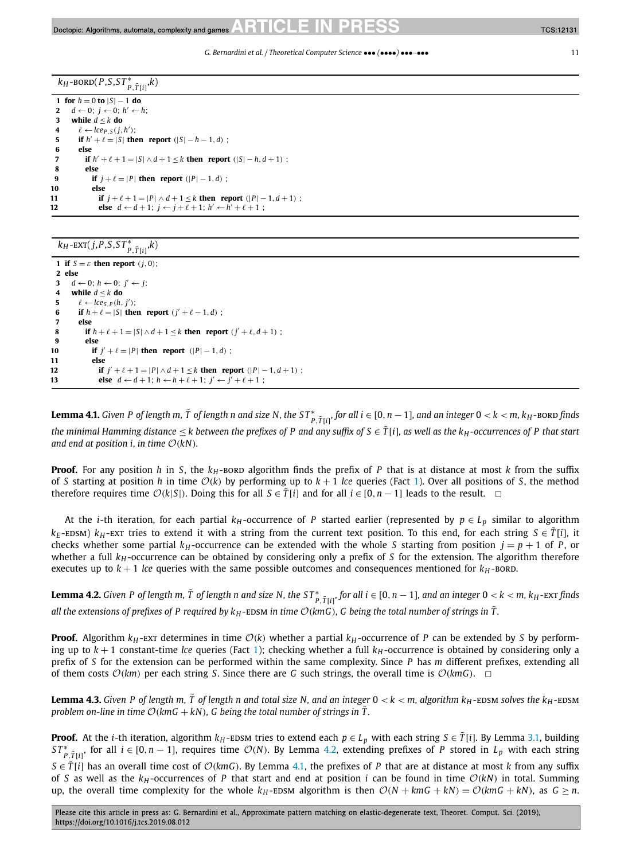**TCS:12131** 

 $k_H$ -bord(*P*,*S*,*S*  $T^*_{P, \tilde{T}[i]}$ , $k$ )

**1 for**  $h = 0$  **to**  $|S| - 1$  **do**<br>**2**  $d \leftarrow 0$ ;  $i \leftarrow 0$ ;  $h' \leftarrow 0$  $d$  ← 0;  $i$  ← 0;  $h'$  ← h; **3 while**  $d \leq k$  **do** 4  $\ell \leftarrow \text{lce}_{P,S}(j,h');$ **5 if**  $h' + \ell = |S|$  **then report**  $(|S| - h - 1, d)$ ; **6 else if**  $h' + \ell + 1 = |S| \wedge d + 1 \le k$  **then report**  $(|S| - h, d + 1)$ ; **8 else if**  $j + \ell = |P|$  **then report**  $(|P| - 1, d)$  ; **10 else 11 if**  $j + \ell + 1 = |P| \wedge d + 1 \leq k$  **then report**  $(|P| - 1, d + 1)$ ; **12 else**  $d \leftarrow d+1$ ;  $j \leftarrow j+\ell+1$ ;  $h' \leftarrow h'+\ell+1$ ;

# $k_{H}$ -EXT(*j*,*P*,*S*,*ST*<sup>\*</sup><sub>*P*, $\tilde{T}[i]$ </sub>, $k$ )

 **if**  $S = \varepsilon$  **then report**  $(j, 0)$ ; **2 else** *d* ← 0; *h* ← 0; *j'* ← *j*; **while** *d* ≤ *k* **do**  $\ell \leftarrow le_{S,P}(h, j');$  **if**  $h + \ell = |S|$  **then report**  $(j' + \ell - 1, d)$ ; **7 else if**  $h + \ell + 1 = |S| \wedge d + 1 \le k$  **then report**  $(j' + \ell, d + 1)$ ; **9 else if**  $j' + \ell = |P|$  **then report**  $(|P| - 1, d)$ ; **11 else if**  $j' + \ell + 1 = |P| \wedge d + 1 \le k$  **then report**  $(|P| - 1, d + 1)$ ; **else**  $d \leftarrow d + 1$ ;  $h \leftarrow h + \ell + 1$ ;  $j' \leftarrow j' + \ell + 1$ ;

**Lemma 4.1.** Given P of length m,  $\tilde{T}$  of length n and size N, the ST $^*_{P,\tilde{T}[i]},$  for all  $i\in[0,n-1]$ , and an integer  $0< k <$  m,  $k_H$ -BORD finds the minimal Hamming distance < k between the prefixes of P and any suffix of  $S \in \tilde{T}[i]$ , as well as the  $k_H$ -occurrences of P that start *and end at position i, in time*  $\mathcal{O}(kN)$ *.* 

**Proof.** For any position *h* in *S*, the  $k_H$ -bord algorithm finds the prefix of *P* that is at distance at most *k* from the suffix of *S* starting at position *h* in time  $O(k)$  by performing up to  $k + 1$  *lce* queries (Fact [1\)](#page-3-0). Over all positions of *S*, the method therefore requires time  $O(k|S|)$ . Doing this for all  $S \in \tilde{T}[i]$  and for all  $i \in [0, n-1]$  leads to the result.

At the *i*-th iteration, for each partial  $k_H$ -occurrence of *P* started earlier (represented by  $p \in L_p$  similar to algorithm  $k_E$ -EDSM)  $k_H$ -EXT tries to extend it with a string from the current text position. To this end, for each string *S* ∈  $\tilde{T}[i]$ , it checks whether some partial  $k_H$ -occurrence can be extended with the whole *S* starting from position  $j = p + 1$  of *P*, or whether a full *k<sub>H</sub>*-occurrence can be obtained by considering only a prefix of *S* for the extension. The algorithm therefore executes up to  $k + 1$  *lce* queries with the same possible outcomes and consequences mentioned for  $k<sub>H</sub>$ -bord.

**Lemma 4.2.** Given P of length m,  $\tilde{T}$  of length n and size N, the ST $^*_{P, \tilde{T}[i]}$ , for all  $i \in [0, n-1]$ , and an integer  $0 < k < m$ ,  $k_H$ -EXT finds all the extensions of prefixes of P required by  $k_H$ -EDSM in time  $\mathcal{O}(km)$ , G being the total number of strings in T.

**Proof.** Algorithm  $k_H$ -ext determines in time  $O(k)$  whether a partial  $k_H$ -occurrence of P can be extended by S by performing up to  $k + 1$  constant-time *lce* queries (Fact [1\)](#page-3-0); checking whether a full  $k_H$ -occurrence is obtained by considering only a prefix of *S* for the extension can be performed within the same complexity. Since *P* has *m* different prefixes, extending all of them costs  $\mathcal{O}(km)$  per each string *S*. Since there are *G* such strings, the overall time is  $\mathcal{O}(km)$ .  $\Box$ 

**Lemma 4.3.** Given P of length m, T of length n and total size N, and an integer  $0 < k < m$ , algorithm  $k_H$ -EDSM solves the  $k_H$ -EDSM *problem on-line in time*  $O(kmG + kN)$ *, G being the total number of strings in*  $\tilde{T}$ *.* 

**Proof.** At the *i*-th iteration, algorithm  $k_H$ -EDSM tries to extend each  $p \in L_p$  with each string  $S \in \tilde{T}[i]$ . By Lemma [3.1,](#page-3-0) building  $ST^*_{P,\tilde{T}[i]}$ , for all  $i \in [0, n-1]$ , requires time  $\mathcal{O}(N)$ . By Lemma 4.2, extending prefixes of P stored in  $L_p$  with each string  $S \in \tilde{T}[i]$  has an overall time cost of  $\mathcal{O}(kmG)$ . By Lemma 4.1, the prefixes of *P* that are at distance at most *k* from any suffix of *<sup>S</sup>* as well as the *kH* -occurrences of *<sup>P</sup>* that start and end at position *<sup>i</sup>* can be found in time O*(kN)* in total. Summing up, the overall time complexity for the whole  $k_H$ -EDSM algorithm is then  $O(N + kmG + kN) = O(kmG + kN)$ , as  $G \ge n$ .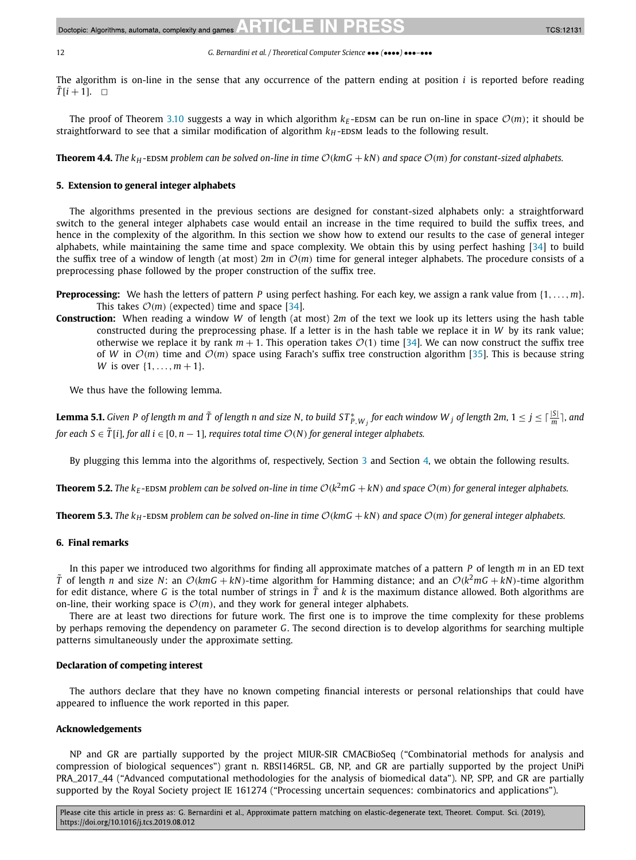<span id="page-11-0"></span>

The algorithm is on-line in the sense that any occurrence of the pattern ending at position *i* is reported before reading  $\tilde{T}[i+1]$ .  $\Box$ 

The proof of Theorem [3.10](#page-9-0) suggests a way in which algorithm  $k_E$ -EDSM can be run on-line in space  $O(m)$ ; it should be straightforward to see that a similar modification of algorithm  $k<sub>H</sub>$ -EDSM leads to the following result.

**Theorem 4.4.** The  $k_H$ -EDSM problem can be solved on-line in time  $O(kmG + kN)$  and space  $O(m)$  for constant-sized alphabets.

## **5. Extension to general integer alphabets**

The algorithms presented in the previous sections are designed for constant-sized alphabets only: a straightforward switch to the general integer alphabets case would entail an increase in the time required to build the suffix trees, and hence in the complexity of the algorithm. In this section we show how to extend our results to the case of general integer alphabets, while maintaining the same time and space complexity. We obtain this by using perfect hashing [\[34\]](#page-13-0) to build the suffix tree of a window of length (at most)  $2m$  in  $\mathcal{O}(m)$  time for general integer alphabets. The procedure consists of a preprocessing phase followed by the proper construction of the suffix tree.

**Preprocessing:** We hash the letters of pattern *P* using perfect hashing. For each key, we assign a rank value from {1*,...,m*}. This takes  $O(m)$  (expected) time and space [\[34\]](#page-13-0).

**Construction:** When reading a window *W* of length (at most) 2*m* of the text we look up its letters using the hash table constructed during the preprocessing phase. If a letter is in the hash table we replace it in *W* by its rank value; otherwise we replace it by rank  $m + 1$ . This operation takes  $O(1)$  time [\[34\]](#page-13-0). We can now construct the suffix tree of *W* in  $\mathcal{O}(m)$  time and  $\mathcal{O}(m)$  space using Farach's suffix tree construction algorithm [\[35\]](#page-13-0). This is because string *W* is over  $\{1, ..., m + 1\}$ .

We thus have the following lemma.

**Lemma 5.1.** Given P of length m and  $\tilde{T}$  of length n and size N, to build ST $^*_{P,W_j}$  for each window W  $_j$  of length 2m, 1  $\leq$  j  $\leq$   $\lceil\frac{|S|}{m}\rceil$ , and for each  $S \in \tilde{T}[i]$ , for all  $i \in [0, n-1]$ , requires total time  $\mathcal{O}(N)$  for general integer alphabets.

By plugging this lemma into the algorithms of, respectively, Section [3](#page-3-0) and Section [4,](#page-9-0) we obtain the following results.

**Theorem 5.2.** The  $k_F$ -EDSM problem can be solved on-line in time  $O(k^2mG + kN)$  and space  $O(m)$  for general integer alphabets.

**Theorem 5.3.** The  $k_H$ -EDSM problem can be solved on-line in time  $O(kmG + kN)$  and space  $O(m)$  for general integer alphabets.

# **6. Final remarks**

In this paper we introduced two algorithms for finding all approximate matches of a pattern *P* of length *m* in an ED text *T* of length *n* and size *N*: an  $O(kmG + kN)$ -time algorithm for Hamming distance; and an  $O(k^2mG + kN)$ -time algorithm for edit distance, where G is the total number of strings in  $\tilde{T}$  and k is the maximum distance allowed. Both algorithms are on-line, their working space is  $\mathcal{O}(m)$ , and they work for general integer alphabets.

There are at least two directions for future work. The first one is to improve the time complexity for these problems by perhaps removing the dependency on parameter *G*. The second direction is to develop algorithms for searching multiple patterns simultaneously under the approximate setting.

# **Declaration of competing interest**

The authors declare that they have no known competing financial interests or personal relationships that could have appeared to influence the work reported in this paper.

# **Acknowledgements**

NP and GR are partially supported by the project MIUR-SIR CMACBioSeq ("Combinatorial methods for analysis and compression of biological sequences") grant n. RBSI146R5L. GB, NP, and GR are partially supported by the project UniPi PRA\_2017\_44 ("Advanced computational methodologies for the analysis of biomedical data"). NP, SPP, and GR are partially supported by the Royal Society project IE 161274 ("Processing uncertain sequences: combinatorics and applications").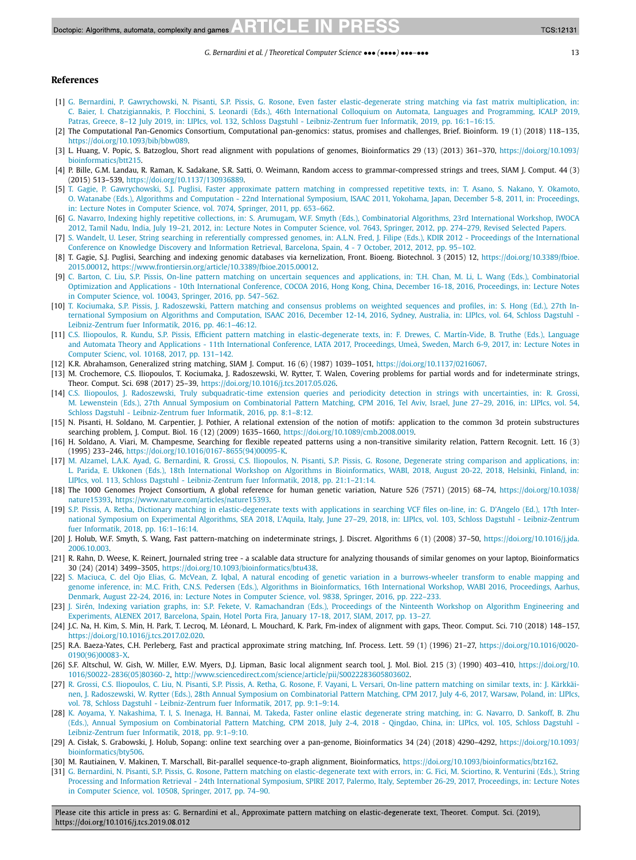## <span id="page-12-0"></span>**References**

- [1] G. Bernardini, P. Gawrychowski, N. Pisanti, S.P. Pissis, G. Rosone, Even faster [elastic-degenerate](http://refhub.elsevier.com/S0304-3975(19)30501-8/bib6963616C7032303139s1) string matching via fast matrix multiplication, in: C. Baier, I. [Chatzigiannakis,](http://refhub.elsevier.com/S0304-3975(19)30501-8/bib6963616C7032303139s1) P. Flocchini, S. Leonardi (Eds.), 46th International Colloquium on Automata, Languages and Programming, ICALP 2019, Patras, Greece, 8–12 July 2019, in: LIPIcs, vol. 132, Schloss Dagstuhl [- Leibniz-Zentrum](http://refhub.elsevier.com/S0304-3975(19)30501-8/bib6963616C7032303139s1) fuer Informatik, 2019, pp. 16:1–16:15.
- [2] The Computational Pan-Genomics Consortium, Computational pan-genomics: status, promises and challenges, Brief. Bioinform. 19 (1) (2018) 118–135, <https://doi.org/10.1093/bib/bbw089>.
- [3] L. Huang, V. Popic, S. Batzoglou, Short read alignment with populations of genomes, Bioinformatics 29 (13) (2013) 361–370, [https://doi.org/10.1093/](https://doi.org/10.1093/bioinformatics/btt215) [bioinformatics/btt215](https://doi.org/10.1093/bioinformatics/btt215).
- [4] P. Bille, G.M. Landau, R. Raman, K. Sadakane, S.R. Satti, O. Weimann, Random access to grammar-compressed strings and trees, SIAM J. Comput. 44 (3) (2015) 513–539, [https://doi.org/10.1137/130936889.](https://doi.org/10.1137/130936889)
- [5] T. Gagie, P. [Gawrychowski,](http://refhub.elsevier.com/S0304-3975(19)30501-8/bib44424C503A636F6E662F69736161632F476167696547503131s1) S.J. Puglisi, Faster approximate pattern matching in compressed repetitive texts, in: T. Asano, S. Nakano, Y. Okamoto, O. Watanabe (Eds.), Algorithms and [Computation](http://refhub.elsevier.com/S0304-3975(19)30501-8/bib44424C503A636F6E662F69736161632F476167696547503131s1) - 22nd International Symposium, ISAAC 2011, Yokohama, Japan, December 5-8, 2011, in: Proceedings, in: Lecture Notes in Computer Science, vol. 7074, Springer, 2011, [pp. 653–662.](http://refhub.elsevier.com/S0304-3975(19)30501-8/bib44424C503A636F6E662F69736161632F476167696547503131s1)
- [6] G. Navarro, Indexing highly repetitive collections, in: S. Arumugam, W.F. Smyth (Eds.), [Combinatorial](http://refhub.elsevier.com/S0304-3975(19)30501-8/bib44424C503A636F6E662F69776F63612F4E61766172726F3132s1) Algorithms, 23rd International Workshop, IWOCA 2012, Tamil Nadu, India, July 19–21, 2012, in: Lecture Notes in Computer Science, vol. 7643, Springer, 2012, [pp. 274–279,](http://refhub.elsevier.com/S0304-3975(19)30501-8/bib44424C503A636F6E662F69776F63612F4E61766172726F3132s1) Revised Selected Papers.
- [7] S. Wandelt, U. Leser, String searching in referentially compressed genomes, in: A.L.N. Fred, J. Filipe (Eds.), KDIR 2012  [Proceedings](http://refhub.elsevier.com/S0304-3975(19)30501-8/bib44424C503A636F6E662F6963336B2F57616E64656C744C3132s1) of the International Conference on Knowledge Discovery and [Information](http://refhub.elsevier.com/S0304-3975(19)30501-8/bib44424C503A636F6E662F6963336B2F57616E64656C744C3132s1) Retrieval, Barcelona, Spain, 4 - 7 October, 2012, 2012, pp. 95–102.
- [8] T. Gagie, S.J. Puglisi, Searching and indexing genomic databases via kernelization, Front. Bioeng. Biotechnol. 3 (2015) 12, [https://doi.org/10.3389/fbioe.](https://doi.org/10.3389/fbioe.2015.00012) [2015.00012](https://doi.org/10.3389/fbioe.2015.00012), <https://www.frontiersin.org/article/10.3389/fbioe.2015.00012>.
- [9] C. Barton, C. Liu, S.P. Pissis, On-line pattern matching on uncertain sequences and applications, in: T.H. Chan, M. Li, L. Wang (Eds.), [Combinatorial](http://refhub.elsevier.com/S0304-3975(19)30501-8/bib434F434F4132303136s1) [Optimization](http://refhub.elsevier.com/S0304-3975(19)30501-8/bib434F434F4132303136s1) and Applications - 10th International Conference, COCOA 2016, Hong Kong, China, December 16-18, 2016, Proceedings, in: Lecture Notes in Computer Science, vol. 10043, Springer, 2016, [pp. 547–562.](http://refhub.elsevier.com/S0304-3975(19)30501-8/bib434F434F4132303136s1)
- [10] T. Kociumaka, S.P. Pissis, J. [Radoszewski,](http://refhub.elsevier.com/S0304-3975(19)30501-8/bib495341414332303136s1) Pattern matching and consensus problems on weighted sequences and profiles, in: S. Hong (Ed.), 27th In-ternational Symposium on Algorithms and [Computation,](http://refhub.elsevier.com/S0304-3975(19)30501-8/bib495341414332303136s1) ISAAC 2016, December 12-14, 2016, Sydney, Australia, in: LIPIcs, vol. 64, Schloss Dagstuhl -[Leibniz-Zentrum](http://refhub.elsevier.com/S0304-3975(19)30501-8/bib495341414332303136s1) fuer Informatik, 2016, pp. 46:1–46:12.
- [11] C.S. Iliopoulos, R. Kundu, S.P. Pissis, Efficient pattern matching in [elastic-degenerate](http://refhub.elsevier.com/S0304-3975(19)30501-8/bib436F737461733A4C415441s1) texts, in: F. Drewes, C. Martín-Vide, B. Truthe (Eds.), Language and Automata Theory and Applications - 11th [International](http://refhub.elsevier.com/S0304-3975(19)30501-8/bib436F737461733A4C415441s1) Conference, LATA 2017, Proceedings, Umeå, Sweden, March 6-9, 2017, in: Lecture Notes in Computer Scienc, vol. 10168, 2017, [pp. 131–142.](http://refhub.elsevier.com/S0304-3975(19)30501-8/bib436F737461733A4C415441s1)
- [12] K.R. Abrahamson, Generalized string matching, SIAM J. Comput. 16 (6) (1987) 1039–1051, [https://doi.org/10.1137/0216067.](https://doi.org/10.1137/0216067)
- [13] M. Crochemore, C.S. Iliopoulos, T. Kociumaka, J. Radoszewski, W. Rytter, T. Walen, Covering problems for partial words and for indeterminate strings, Theor. Comput. Sci. 698 (2017) 25–39, <https://doi.org/10.1016/j.tcs.2017.05.026>.
- [14] C.S. Iliopoulos, J. Radoszewski, Truly [subquadratic-time](http://refhub.elsevier.com/S0304-3975(19)30501-8/bib696C696F706F756C6F735F65745F616C3A4C49504963733A323031363A36303834s1) extension queries and periodicity detection in strings with uncertainties, in: R. Grossi, [M. Lewenstein](http://refhub.elsevier.com/S0304-3975(19)30501-8/bib696C696F706F756C6F735F65745F616C3A4C49504963733A323031363A36303834s1) (Eds.), 27th Annual Symposium on Combinatorial Pattern Matching, CPM 2016, Tel Aviv, Israel, June 27–29, 2016, in: LIPIcs, vol. 54, Schloss Dagstuhl [- Leibniz-Zentrum](http://refhub.elsevier.com/S0304-3975(19)30501-8/bib696C696F706F756C6F735F65745F616C3A4C49504963733A323031363A36303834s1) fuer Informatik, 2016, pp. 8:1–8:12.
- [15] N. Pisanti, H. Soldano, M. Carpentier, J. Pothier, A relational extension of the notion of motifs: application to the common 3d protein substructures searching problem, J. Comput. Biol. 16 (12) (2009) 1635–1660, <https://doi.org/10.1089/cmb.2008.0019>.
- [16] H. Soldano, A. Viari, M. Champesme, Searching for flexible repeated patterns using a non-transitive similarity relation, Pattern Recognit. Lett. 16 (3) (1995) 233–246, [https://doi.org/10.1016/0167-8655\(94\)00095-K.](https://doi.org/10.1016/0167-8655(94)00095-K)
- [17] M. Alzamel, L.A.K. Ayad, G. Bernardini, R. Grossi, C.S. Iliopoulos, N. Pisanti, S.P. Pissis, G. Rosone, Degenerate string comparison and [applications,](http://refhub.elsevier.com/S0304-3975(19)30501-8/bib616C7A616D656C32303138646567656E6572617465s1) in: L. Parida, E. Ukkonen (Eds.), 18th International Workshop on Algorithms in [Bioinformatics,](http://refhub.elsevier.com/S0304-3975(19)30501-8/bib616C7A616D656C32303138646567656E6572617465s1) WABI, 2018, August 20-22, 2018, Helsinki, Finland, in: LIPIcs, vol. 113, Schloss Dagstuhl [- Leibniz-Zentrum](http://refhub.elsevier.com/S0304-3975(19)30501-8/bib616C7A616D656C32303138646567656E6572617465s1) fuer Informatik, 2018, pp. 21:1–21:14.
- [18] The 1000 Genomes Project Consortium, A global reference for human genetic variation, Nature 526 (7571) (2015) 68–74, [https://doi.org/10.1038/](https://doi.org/10.1038/nature15393) [nature15393](https://doi.org/10.1038/nature15393), <https://www.nature.com/articles/nature15393>.
- [19] S.P. Pissis, A. Retha, Dictionary matching in [elastic-degenerate](http://refhub.elsevier.com/S0304-3975(19)30501-8/bib7069737369735F65745F616C3A4C49504963733A323031383A38393531s1) texts with applications in searching VCF files on-line, in: G. D'Angelo (Ed.), 17th International Symposium on Experimental Algorithms, SEA 2018, L'Aquila, Italy, June 27–29, 2018, in: LIPIcs, vol. 103, Schloss Dagstuhl [- Leibniz-Zentrum](http://refhub.elsevier.com/S0304-3975(19)30501-8/bib7069737369735F65745F616C3A4C49504963733A323031383A38393531s1) fuer Informatik, 2018, [pp. 16:1–16:14.](http://refhub.elsevier.com/S0304-3975(19)30501-8/bib7069737369735F65745F616C3A4C49504963733A323031383A38393531s1)
- [20] J. Holub, W.F. Smyth, S. Wang, Fast pattern-matching on indeterminate strings, J. Discret. Algorithms 6 (1) (2008) 37–50, [https://doi.org/10.1016/j.jda.](https://doi.org/10.1016/j.jda.2006.10.003) [2006.10.003.](https://doi.org/10.1016/j.jda.2006.10.003)
- [21] R. Rahn, D. Weese, K. Reinert, Journaled string tree a scalable data structure for analyzing thousands of similar genomes on your laptop, Bioinformatics 30 (24) (2014) 3499–3505, [https://doi.org/10.1093/bioinformatics/btu438.](https://doi.org/10.1093/bioinformatics/btu438)
- [22] S. Maciuca, C. del Ojo Elias, G. McVean, Z. Iqbal, A natural encoding of genetic variation in a [burrows-wheeler](http://refhub.elsevier.com/S0304-3975(19)30501-8/bib4D61636975636132303136s1) transform to enable mapping and genome inference, in: M.C. Frith, C.N.S. Pedersen (Eds.), Algorithms in [Bioinformatics,](http://refhub.elsevier.com/S0304-3975(19)30501-8/bib4D61636975636132303136s1) 16th International Workshop, WABI 2016, Proceedings, Aarhus, Denmark, August 22-24, 2016, in: Lecture Notes in Computer Science, vol. 9838, Springer, 2016, [pp. 222–233.](http://refhub.elsevier.com/S0304-3975(19)30501-8/bib4D61636975636132303136s1)
- [23] J. Sirén, Indexing variation graphs, in: S.P. Fekete, V. [Ramachandran](http://refhub.elsevier.com/S0304-3975(19)30501-8/bib44424C503A636F6E662F616C656E65782F536972656E3137s1) (Eds.), Proceedings of the Ninteenth Workshop on Algorithm Engineering and [Experiments,](http://refhub.elsevier.com/S0304-3975(19)30501-8/bib44424C503A636F6E662F616C656E65782F536972656E3137s1) ALENEX 2017, Barcelona, Spain, Hotel Porta Fira, January 17-18, 2017, SIAM, 2017, pp. 13–27.
- [24] J.C. Na, H. Kim, S. Min, H. Park, T. Lecroq, M. Léonard, L. Mouchard, K. Park, Fm-index of alignment with gaps, Theor. Comput. Sci. 710 (2018) 148-157, [https://doi.org/10.1016/j.tcs.2017.02.020.](https://doi.org/10.1016/j.tcs.2017.02.020)
- [25] R.A. Baeza-Yates, C.H. Perleberg, Fast and practical approximate string matching, Inf. Process. Lett. 59 (1) (1996) 21–27, [https://doi.org/10.1016/0020-](https://doi.org/10.1016/0020-0190(96)00083-X) [0190\(96\)00083-X](https://doi.org/10.1016/0020-0190(96)00083-X).
- [26] S.F. Altschul, W. Gish, W. Miller, E.W. Myers, D.J. Lipman, Basic local alignment search tool, J. Mol. Biol. 215 (3) (1990) 403–410, [https://doi.org/10.](https://doi.org/10.1016/S0022-2836(05)80360-2) [1016/S0022-2836\(05\)80360-2,](https://doi.org/10.1016/S0022-2836(05)80360-2) <http://www.sciencedirect.com/science/article/pii/S0022283605803602>.
- [27] R. Grossi, C.S. Iliopoulos, C. Liu, N. Pisanti, S.P. Pissis, A. Retha, G. Rosone, F. Vayani, L. Versari, On-line pattern matching on similar texts, in: [J. Kärkkäi](http://refhub.elsevier.com/S0304-3975(19)30501-8/bib506973616E74693A4F6E6C696E65s1)nen, [J. Radoszewski,](http://refhub.elsevier.com/S0304-3975(19)30501-8/bib506973616E74693A4F6E6C696E65s1) W. Rytter (Eds.), 28th Annual Symposium on Combinatorial Pattern Matching, CPM 2017, July 4-6, 2017, Warsaw, Poland, in: LIPIcs, vol. 78, Schloss Dagstuhl [- Leibniz-Zentrum](http://refhub.elsevier.com/S0304-3975(19)30501-8/bib506973616E74693A4F6E6C696E65s1) fuer Informatik, 2017, pp. 9:1–9:14.
- [28] K. Aoyama, Y. [Nakashima,](http://refhub.elsevier.com/S0304-3975(19)30501-8/bib616F79616D6132303138666173746572s1) T. I, S. Inenaga, H. Bannai, M. Takeda, Faster online elastic degenerate string matching, in: G. Navarro, D. Sankoff, B. Zhu (Eds.), Annual Symposium on [Combinatorial](http://refhub.elsevier.com/S0304-3975(19)30501-8/bib616F79616D6132303138666173746572s1) Pattern Matching, CPM 2018, July 2-4, 2018 - Qingdao, China, in: LIPIcs, vol. 105, Schloss Dagstuhl - [Leibniz-Zentrum](http://refhub.elsevier.com/S0304-3975(19)30501-8/bib616F79616D6132303138666173746572s1) fuer Informatik, 2018, pp. 9:1–9:10.
- [29] A. Cisłak, S. Grabowski, J. Holub, Sopang: online text searching over a pan-genome, Bioinformatics 34 (24) (2018) 4290–4292, [https://doi.org/10.1093/](https://doi.org/10.1093/bioinformatics/bty506) [bioinformatics/bty506](https://doi.org/10.1093/bioinformatics/bty506).
- [30] M. Rautiainen, V. Makinen, T. Marschall, Bit-parallel sequence-to-graph alignment, Bioinformatics, [https://doi.org/10.1093/bioinformatics/btz162.](https://doi.org/10.1093/bioinformatics/btz162)
- [31] G. Bernardini, N. Pisanti, S.P. Pissis, G. Rosone, Pattern matching on [elastic-degenerate](http://refhub.elsevier.com/S0304-3975(19)30501-8/bib6265726E617264696E69323031377061747465726Es1) text with errors, in: G. Fici, M. Sciortino, R. Venturini (Eds.), String Processing and Information Retrieval - 24th [International](http://refhub.elsevier.com/S0304-3975(19)30501-8/bib6265726E617264696E69323031377061747465726Es1) Symposium, SPIRE 2017, Palermo, Italy, September 26-29, 2017, Proceedings, in: Lecture Notes in Computer Science, [vol. 10508,](http://refhub.elsevier.com/S0304-3975(19)30501-8/bib6265726E617264696E69323031377061747465726Es1) Springer, 2017, pp. 74–90.